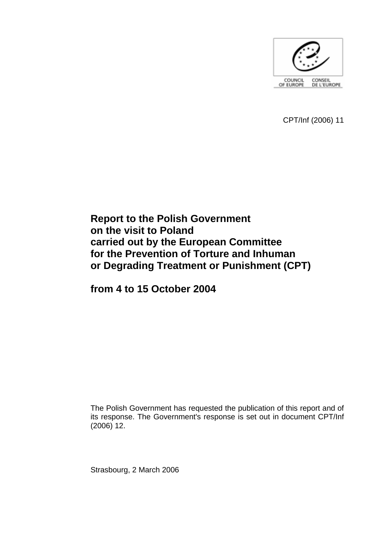

CPT/Inf (2006) 11

# **Report to the Polish Government on the visit to Poland carried out by the European Committee for the Prevention of Torture and Inhuman or Degrading Treatment or Punishment (CPT)**

**from 4 to 15 October 2004** 

The Polish Government has requested the publication of this report and of its response. The Government's response is set out in document CPT/Inf (2006) 12.

Strasbourg, 2 March 2006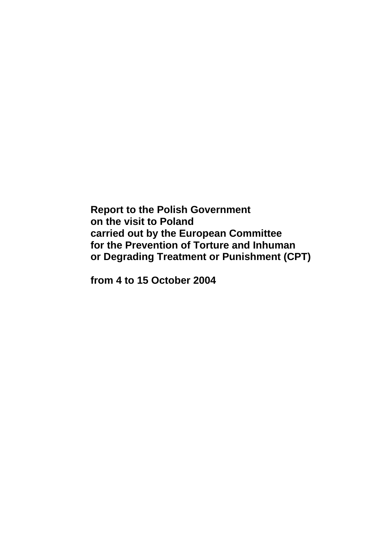**Report to the Polish Government on the visit to Poland carried out by the European Committee for the Prevention of Torture and Inhuman or Degrading Treatment or Punishment (CPT)** 

**from 4 to 15 October 2004**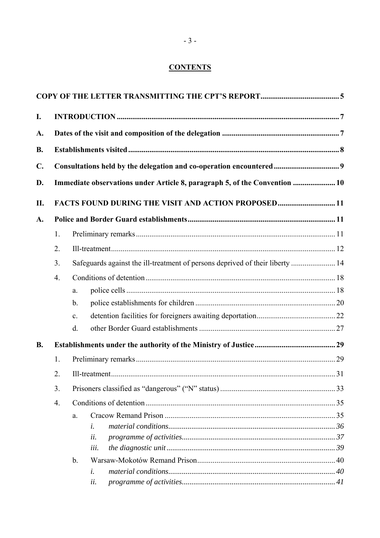# **CONTENTS**

| I.             |                                                                                     |                                                                            |  |  |  |  |
|----------------|-------------------------------------------------------------------------------------|----------------------------------------------------------------------------|--|--|--|--|
| A.             |                                                                                     |                                                                            |  |  |  |  |
| <b>B.</b>      |                                                                                     |                                                                            |  |  |  |  |
| $\mathbf{C}$ . |                                                                                     |                                                                            |  |  |  |  |
| D.             |                                                                                     | Immediate observations under Article 8, paragraph 5, of the Convention  10 |  |  |  |  |
| II.            | FACTS FOUND DURING THE VISIT AND ACTION PROPOSED11                                  |                                                                            |  |  |  |  |
| A.             |                                                                                     |                                                                            |  |  |  |  |
|                | 1.                                                                                  |                                                                            |  |  |  |  |
|                | 2.                                                                                  |                                                                            |  |  |  |  |
|                | Safeguards against the ill-treatment of persons deprived of their liberty  14<br>3. |                                                                            |  |  |  |  |
|                | 4.                                                                                  |                                                                            |  |  |  |  |
|                |                                                                                     | a.                                                                         |  |  |  |  |
|                |                                                                                     | $\mathbf b$ .                                                              |  |  |  |  |
|                |                                                                                     | $\mathbf{c}$ .                                                             |  |  |  |  |
|                |                                                                                     | d.                                                                         |  |  |  |  |
| <b>B.</b>      |                                                                                     |                                                                            |  |  |  |  |
|                | 1.                                                                                  |                                                                            |  |  |  |  |
|                | 2.                                                                                  |                                                                            |  |  |  |  |
|                | 3.                                                                                  |                                                                            |  |  |  |  |
|                | 4.                                                                                  |                                                                            |  |  |  |  |
|                |                                                                                     | a.                                                                         |  |  |  |  |
|                |                                                                                     | $\dot{i}$ .                                                                |  |  |  |  |
|                |                                                                                     | ii.                                                                        |  |  |  |  |
|                |                                                                                     | iii.                                                                       |  |  |  |  |
|                |                                                                                     | $\mathbf b$ .                                                              |  |  |  |  |
|                |                                                                                     | i.                                                                         |  |  |  |  |
|                |                                                                                     | ii.                                                                        |  |  |  |  |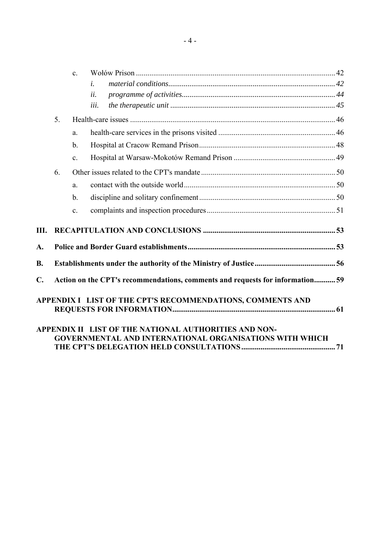|    |                | $\mathbf{c}$ .                                                                |                                                                |  |  |  |  |
|----|----------------|-------------------------------------------------------------------------------|----------------------------------------------------------------|--|--|--|--|
|    |                |                                                                               | $\dot{i}$ .                                                    |  |  |  |  |
|    |                |                                                                               | ii.                                                            |  |  |  |  |
|    |                |                                                                               | iii.                                                           |  |  |  |  |
|    | 5 <sub>1</sub> |                                                                               |                                                                |  |  |  |  |
|    |                | a.                                                                            |                                                                |  |  |  |  |
|    |                | $\mathbf b$ .                                                                 |                                                                |  |  |  |  |
|    |                | $\mathbf{c}$ .                                                                |                                                                |  |  |  |  |
|    | 6.             |                                                                               |                                                                |  |  |  |  |
|    |                | a.                                                                            |                                                                |  |  |  |  |
|    |                | $\mathbf b$ .                                                                 |                                                                |  |  |  |  |
|    |                | $\mathbf{c}$ .                                                                |                                                                |  |  |  |  |
| Ш. |                |                                                                               |                                                                |  |  |  |  |
| A. |                |                                                                               |                                                                |  |  |  |  |
| B. |                |                                                                               |                                                                |  |  |  |  |
| C. |                | Action on the CPT's recommendations, comments and requests for information 59 |                                                                |  |  |  |  |
|    |                |                                                                               | APPENDIX I LIST OF THE CPT'S RECOMMENDATIONS, COMMENTS AND     |  |  |  |  |
|    |                |                                                                               | APPENDIX II LIST OF THE NATIONAL AUTHORITIES AND NON-          |  |  |  |  |
|    |                |                                                                               | <b>GOVERNMENTAL AND INTERNATIONAL ORGANISATIONS WITH WHICH</b> |  |  |  |  |

**[THE CPTíS DELEGATION HELD CONSULTATIONS................................................. 71](#page-71-0)**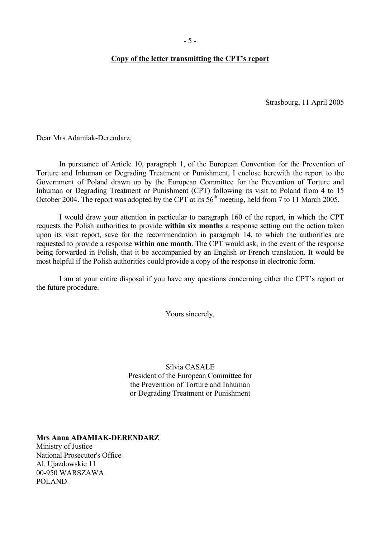#### <span id="page-6-0"></span>Copy of the letter transmitting the CPT's report

Strasbourg, 11 April 2005

Dear Mrs Adamiak-Derendarz,

 In pursuance of Article 10, paragraph 1, of the European Convention for the Prevention of Torture and Inhuman or Degrading Treatment or Punishment, I enclose herewith the report to the Government of Poland drawn up by the European Committee for the Prevention of Torture and Inhuman or Degrading Treatment or Punishment (CPT) following its visit to Poland from 4 to 15 October 2004. The report was adopted by the CPT at its 56<sup>th</sup> meeting, held from 7 to 11 March 2005.

I would draw your attention in particular to paragraph 160 of the report, in which the CPT requests the Polish authorities to provide **within six months** a response setting out the action taken upon its visit report, save for the recommendation in paragraph 14, to which the authorities are requested to provide a response **within one month**. The CPT would ask, in the event of the response being forwarded in Polish, that it be accompanied by an English or French translation. It would be most helpful if the Polish authorities could provide a copy of the response in electronic form.

I am at your entire disposal if you have any questions concerning either the CPT's report or the future procedure.

Yours sincerely,

Silvia CASALE President of the European Committee for the Prevention of Torture and Inhuman or Degrading Treatment or Punishment

**Mrs Anna ADAMIAK-DERENDARZ** 

Ministry of Justice National Prosecutor's Office Al. Ujazdowskie 11 00-950 WARSZAWA POLAND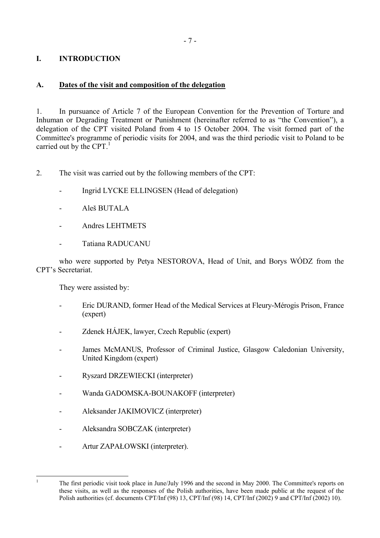# <span id="page-8-0"></span>**I. INTRODUCTION**

# **A. Dates of the visit and composition of the delegation**

1. In pursuance of Article 7 of the European Convention for the Prevention of Torture and Inhuman or Degrading Treatment or Punishment (hereinafter referred to as "the Convention"), a delegation of the CPT visited Poland from 4 to 15 October 2004. The visit formed part of the Committee's programme of periodic visits for 2004, and was the third periodic visit to Poland to be carried out by the CPT.<sup>[1](#page-8-1)</sup>

2. The visit was carried out by the following members of the CPT:

- Ingrid LYCKE ELLINGSEN (Head of delegation)
- Aleš BUTALA
- Andres LEHTMETS
- Tatiana RADUCANU

who were supported by Petya NESTOROVA, Head of Unit, and Borys WÓDZ from the CPT's Secretariat.

They were assisted by:

- Eric DURAND, former Head of the Medical Services at Fleury-Mérogis Prison, France (expert)
- Zdenek H£JEK, lawyer, Czech Republic (expert)
- James McMANUS, Professor of Criminal Justice, Glasgow Caledonian University, United Kingdom (expert)
- Ryszard DRZEWIECKI (interpreter)
- Wanda GADOMSKA-BOUNAKOFF (interpreter)
- Aleksander JAKIMOVICZ (interpreter)
- Aleksandra SOBCZAK (interpreter)
- Artur ZAPAŁOWSKI (interpreter).

 $\frac{1}{1}$ 

<span id="page-8-1"></span>The first periodic visit took place in June/July 1996 and the second in May 2000. The Committee's reports on these visits, as well as the responses of the Polish authorities, have been made public at the request of the Polish authorities (cf. documents CPT/Inf (98) 13, CPT/Inf (98) 14, CPT/Inf (2002) 9 and CPT/Inf (2002) 10).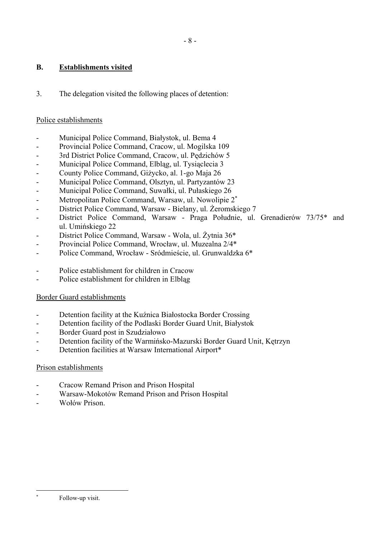# <span id="page-9-0"></span>**B. Establishments visited**

3. The delegation visited the following places of detention:

# Police establishments

- Municipal Police Command, Białystok, ul. Bema 4
- Provincial Police Command, Cracow, ul. Mogilska 109
- 3rd District Police Command, Cracow, ul. Pędzichów 5
- Municipal Police Command, Elbląg, ul. Tysiąclecia 3
- County Police Command, Giżycko, al. 1-go Maja 26
- Municipal Police Command, Olsztyn, ul. Partyzantów 23
- Municipal Police Command, Suwałki, ul. Pułaskiego 26
- Metropolitan Police Command, Warsaw, ul. Nowolipie 2[∗](#page-9-1)
- District Police Command, Warsaw Bielany, ul. Żeromskiego 7
- District Police Command, Warsaw Praga Południe, ul. Grenadierów 73/75\* and ul. Umińskiego 22
- District Police Command, Warsaw Wola, ul. Żytnia 36\*
- Provincial Police Command, Wrocław, ul. Muzealna 2/4\*
- Police Command, Wrocław Sródmieście, ul. Grunwaldzka 6\*
- Police establishment for children in Cracow
- Police establishment for children in Elblag

# Border Guard establishments

- Detention facility at the Kuźnica Białostocka Border Crossing
- Detention facility of the Podlaski Border Guard Unit, Białystok
- Border Guard post in Szudziałowo
- Detention facility of the Warmińsko-Mazurski Border Guard Unit, Kętrzyn
- Detention facilities at Warsaw International Airport\*

#### Prison establishments

- Cracow Remand Prison and Prison Hospital
- Warsaw-Mokotów Remand Prison and Prison Hospital
- Wołów Prison.

<span id="page-9-1"></span> $\overline{a}$ ∗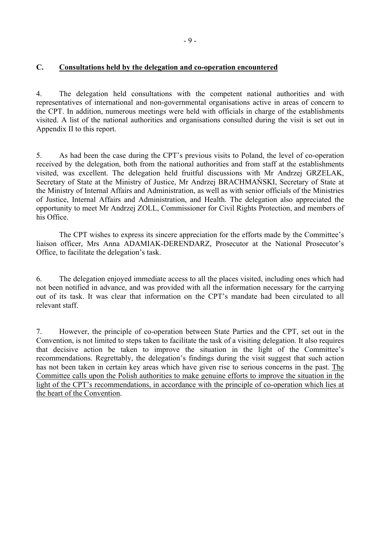## <span id="page-10-0"></span>**C. Consultations held by the delegation and co-operation encountered**

4. The delegation held consultations with the competent national authorities and with representatives of international and non-governmental organisations active in areas of concern to the CPT. In addition, numerous meetings were held with officials in charge of the establishments visited. A list of the national authorities and organisations consulted during the visit is set out in Appendix II to this report.

5. As had been the case during the CPT's previous visits to Poland, the level of co-operation received by the delegation, both from the national authorities and from staff at the establishments visited, was excellent. The delegation held fruitful discussions with Mr Andrzej GRZELAK, Secretary of State at the Ministry of Justice, Mr Andrzej BRACHMAŃSKI, Secretary of State at the Ministry of Internal Affairs and Administration, as well as with senior officials of the Ministries of Justice, Internal Affairs and Administration, and Health. The delegation also appreciated the opportunity to meet Mr Andrzej ZOLL, Commissioner for Civil Rights Protection, and members of his Office.

The CPT wishes to express its sincere appreciation for the efforts made by the Committee's liaison officer, Mrs Anna ADAMIAK-DERENDARZ, Prosecutor at the National Prosecutor's Office, to facilitate the delegation's task.

6. The delegation enjoyed immediate access to all the places visited, including ones which had not been notified in advance, and was provided with all the information necessary for the carrying out of its task. It was clear that information on the CPT's mandate had been circulated to all relevant staff.

7. However, the principle of co-operation between State Parties and the CPT, set out in the Convention, is not limited to steps taken to facilitate the task of a visiting delegation. It also requires that decisive action be taken to improve the situation in the light of the Committee's recommendations. Regrettably, the delegation's findings during the visit suggest that such action has not been taken in certain key areas which have given rise to serious concerns in the past. The Committee calls upon the Polish authorities to make genuine efforts to improve the situation in the light of the CPT's recommendations, in accordance with the principle of co-operation which lies at the heart of the Convention.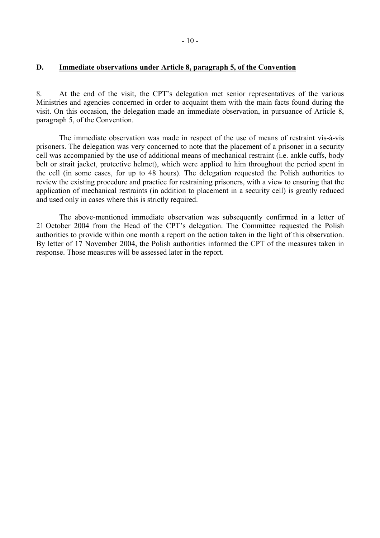#### <span id="page-11-0"></span>**D. Immediate observations under Article 8, paragraph 5, of the Convention**

8. At the end of the visit, the CPT's delegation met senior representatives of the various Ministries and agencies concerned in order to acquaint them with the main facts found during the visit. On this occasion, the delegation made an immediate observation, in pursuance of Article 8, paragraph 5, of the Convention.

The immediate observation was made in respect of the use of means of restraint vis-à-vis prisoners. The delegation was very concerned to note that the placement of a prisoner in a security cell was accompanied by the use of additional means of mechanical restraint (i.e. ankle cuffs, body belt or strait jacket, protective helmet), which were applied to him throughout the period spent in the cell (in some cases, for up to 48 hours). The delegation requested the Polish authorities to review the existing procedure and practice for restraining prisoners, with a view to ensuring that the application of mechanical restraints (in addition to placement in a security cell) is greatly reduced and used only in cases where this is strictly required.

 The above-mentioned immediate observation was subsequently confirmed in a letter of 21 October 2004 from the Head of the CPT's delegation. The Committee requested the Polish authorities to provide within one month a report on the action taken in the light of this observation. By letter of 17 November 2004, the Polish authorities informed the CPT of the measures taken in response. Those measures will be assessed later in the report.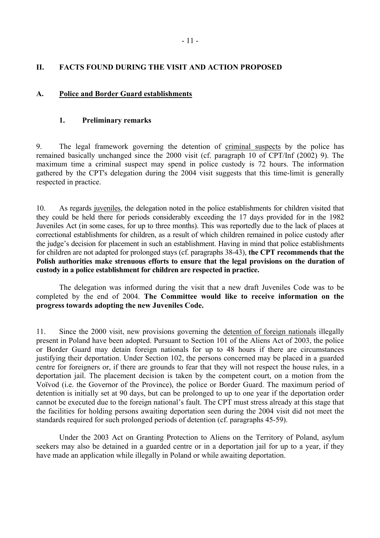# <span id="page-12-0"></span>**II. FACTS FOUND DURING THE VISIT AND ACTION PROPOSED**

## **A. Police and Border Guard establishments**

#### **1. Preliminary remarks**

9. The legal framework governing the detention of criminal suspects by the police has remained basically unchanged since the 2000 visit (cf. paragraph 10 of CPT/Inf (2002) 9). The maximum time a criminal suspect may spend in police custody is 72 hours. The information gathered by the CPT's delegation during the 2004 visit suggests that this time-limit is generally respected in practice.

10. As regards juveniles, the delegation noted in the police establishments for children visited that they could be held there for periods considerably exceeding the 17 days provided for in the 1982 Juveniles Act (in some cases, for up to three months). This was reportedly due to the lack of places at correctional establishments for children, as a result of which children remained in police custody after the judge's decision for placement in such an establishment. Having in mind that police establishments for children are not adapted for prolonged stays (cf. paragraphs 38-43), **the CPT recommends that the Polish authorities make strenuous efforts to ensure that the legal provisions on the duration of custody in a police establishment for children are respected in practice.** 

 The delegation was informed during the visit that a new draft Juveniles Code was to be completed by the end of 2004. **The Committee would like to receive information on the progress towards adopting the new Juveniles Code.**

11. Since the 2000 visit, new provisions governing the detention of foreign nationals illegally present in Poland have been adopted. Pursuant to Section 101 of the Aliens Act of 2003, the police or Border Guard may detain foreign nationals for up to 48 hours if there are circumstances justifying their deportation. Under Section 102, the persons concerned may be placed in a guarded centre for foreigners or, if there are grounds to fear that they will not respect the house rules, in a deportation jail. The placement decision is taken by the competent court, on a motion from the Voïvod (i.e. the Governor of the Province), the police or Border Guard. The maximum period of detention is initially set at 90 days, but can be prolonged to up to one year if the deportation order cannot be executed due to the foreign national's fault. The CPT must stress already at this stage that the facilities for holding persons awaiting deportation seen during the 2004 visit did not meet the standards required for such prolonged periods of detention (cf. paragraphs 45-59).

 Under the 2003 Act on Granting Protection to Aliens on the Territory of Poland, asylum seekers may also be detained in a guarded centre or in a deportation jail for up to a year, if they have made an application while illegally in Poland or while awaiting deportation.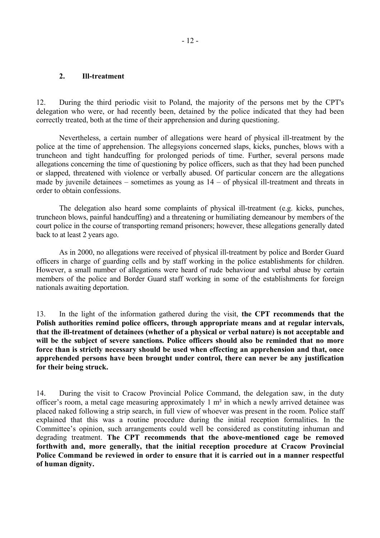#### <span id="page-13-0"></span>**2. Ill-treatment**

12. During the third periodic visit to Poland, the majority of the persons met by the CPT's delegation who were, or had recently been, detained by the police indicated that they had been correctly treated, both at the time of their apprehension and during questioning.

 Nevertheless, a certain number of allegations were heard of physical ill-treatment by the police at the time of apprehension. The allegsyions concerned slaps, kicks, punches, blows with a truncheon and tight handcuffing for prolonged periods of time. Further, several persons made allegations concerning the time of questioning by police officers, such as that they had been punched or slapped, threatened with violence or verbally abused. Of particular concern are the allegations made by juvenile detainees  $-$  sometimes as young as  $14 - of$  physical ill-treatment and threats in order to obtain confessions.

 The delegation also heard some complaints of physical ill-treatment (e.g. kicks, punches, truncheon blows, painful handcuffing) and a threatening or humiliating demeanour by members of the court police in the course of transporting remand prisoners; however, these allegations generally dated back to at least 2 years ago.

 As in 2000, no allegations were received of physical ill-treatment by police and Border Guard officers in charge of guarding cells and by staff working in the police establishments for children. However, a small number of allegations were heard of rude behaviour and verbal abuse by certain members of the police and Border Guard staff working in some of the establishments for foreign nationals awaiting deportation.

13. In the light of the information gathered during the visit, **the CPT recommends that the Polish authorities remind police officers, through appropriate means and at regular intervals, that the ill-treatment of detainees (whether of a physical or verbal nature) is not acceptable and will be the subject of severe sanctions. Police officers should also be reminded that no more force than is strictly necessary should be used when effecting an apprehension and that, once apprehended persons have been brought under control, there can never be any justification for their being struck.** 

14. During the visit to Cracow Provincial Police Command, the delegation saw, in the duty officer's room, a metal cage measuring approximately 1  $m<sup>2</sup>$  in which a newly arrived detainee was placed naked following a strip search, in full view of whoever was present in the room. Police staff explained that this was a routine procedure during the initial reception formalities. In the Committee's opinion, such arrangements could well be considered as constituting inhuman and degrading treatment. **The CPT recommends that the above-mentioned cage be removed forthwith and, more generally, that the initial reception procedure at Cracow Provincial Police Command be reviewed in order to ensure that it is carried out in a manner respectful of human dignity.**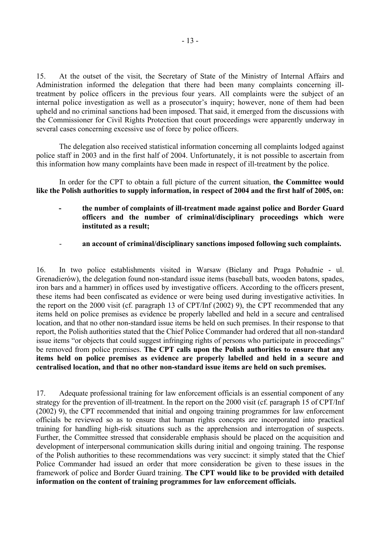15. At the outset of the visit, the Secretary of State of the Ministry of Internal Affairs and Administration informed the delegation that there had been many complaints concerning illtreatment by police officers in the previous four years. All complaints were the subject of an internal police investigation as well as a prosecutor's inquiry; however, none of them had been upheld and no criminal sanctions had been imposed. That said, it emerged from the discussions with the Commissioner for Civil Rights Protection that court proceedings were apparently underway in several cases concerning excessive use of force by police officers.

 The delegation also received statistical information concerning all complaints lodged against police staff in 2003 and in the first half of 2004. Unfortunately, it is not possible to ascertain from this information how many complaints have been made in respect of ill-treatment by the police.

In order for the CPT to obtain a full picture of the current situation, **the Committee would like the Polish authorities to supply information, in respect of 2004 and the first half of 2005, on:** 

- **the number of complaints of ill-treatment made against police and Border Guard officers and the number of criminal/disciplinary proceedings which were instituted as a result;**
- **an account of criminal/disciplinary sanctions imposed following such complaints.**

16. In two police establishments visited in Warsaw (Bielany and Praga Południe - ul. Grenadierów), the delegation found non-standard issue items (baseball bats, wooden batons, spades, iron bars and a hammer) in offices used by investigative officers. According to the officers present, these items had been confiscated as evidence or were being used during investigative activities. In the report on the 2000 visit (cf. paragraph 13 of CPT/Inf (2002) 9), the CPT recommended that any items held on police premises as evidence be properly labelled and held in a secure and centralised location, and that no other non-standard issue items be held on such premises. In their response to that report, the Polish authorities stated that the Chief Police Commander had ordered that all non-standard issue items "or objects that could suggest infringing rights of persons who participate in proceedings" be removed from police premises. **The CPT calls upon the Polish authorities to ensure that any items held on police premises as evidence are properly labelled and held in a secure and centralised location, and that no other non-standard issue items are held on such premises.** 

17. Adequate professional training for law enforcement officials is an essential component of any strategy for the prevention of ill-treatment. In the report on the 2000 visit (cf. paragraph 15 of CPT/Inf (2002) 9), the CPT recommended that initial and ongoing training programmes for law enforcement officials be reviewed so as to ensure that human rights concepts are incorporated into practical training for handling high-risk situations such as the apprehension and interrogation of suspects. Further, the Committee stressed that considerable emphasis should be placed on the acquisition and development of interpersonal communication skills during initial and ongoing training. The response of the Polish authorities to these recommendations was very succinct: it simply stated that the Chief Police Commander had issued an order that more consideration be given to these issues in the framework of police and Border Guard training. **The CPT would like to be provided with detailed information on the content of training programmes for law enforcement officials.**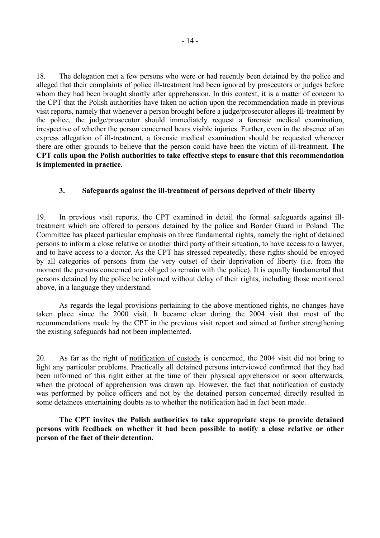<span id="page-15-0"></span>18. The delegation met a few persons who were or had recently been detained by the police and alleged that their complaints of police ill-treatment had been ignored by prosecutors or judges before whom they had been brought shortly after apprehension. In this context, it is a matter of concern to the CPT that the Polish authorities have taken no action upon the recommendation made in previous visit reports, namely that whenever a person brought before a judge/prosecutor alleges ill-treatment by the police, the judge/prosecutor should immediately request a forensic medical examination, irrespective of whether the person concerned bears visible injuries. Further, even in the absence of an express allegation of ill-treatment, a forensic medical examination should be requested whenever there are other grounds to believe that the person could have been the victim of ill-treatment. **The CPT calls upon the Polish authorities to take effective steps to ensure that this recommendation is implemented in practice.** 

# **3. Safeguards against the ill-treatment of persons deprived of their liberty**

19. In previous visit reports, the CPT examined in detail the formal safeguards against illtreatment which are offered to persons detained by the police and Border Guard in Poland. The Committee has placed particular emphasis on three fundamental rights, namely the right of detained persons to inform a close relative or another third party of their situation, to have access to a lawyer, and to have access to a doctor. As the CPT has stressed repeatedly, these rights should be enjoyed by all categories of persons from the very outset of their deprivation of liberty (i.e. from the moment the persons concerned are obliged to remain with the police). It is equally fundamental that persons detained by the police be informed without delay of their rights, including those mentioned above, in a language they understand.

 As regards the legal provisions pertaining to the above-mentioned rights, no changes have taken place since the 2000 visit. It became clear during the 2004 visit that most of the recommendations made by the CPT in the previous visit report and aimed at further strengthening the existing safeguards had not been implemented.

20. As far as the right of notification of custody is concerned, the 2004 visit did not bring to light any particular problems. Practically all detained persons interviewed confirmed that they had been informed of this right either at the time of their physical apprehension or soon afterwards, when the protocol of apprehension was drawn up. However, the fact that notification of custody was performed by police officers and not by the detained person concerned directly resulted in some detainees entertaining doubts as to whether the notification had in fact been made.

 **The CPT invites the Polish authorities to take appropriate steps to provide detained persons with feedback on whether it had been possible to notify a close relative or other person of the fact of their detention.**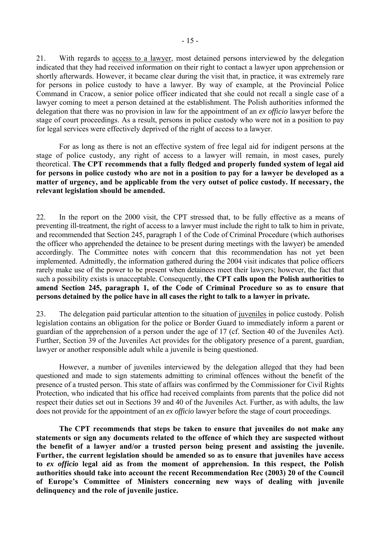21. With regards to access to a lawyer, most detained persons interviewed by the delegation indicated that they had received information on their right to contact a lawyer upon apprehension or shortly afterwards. However, it became clear during the visit that, in practice, it was extremely rare for persons in police custody to have a lawyer. By way of example, at the Provincial Police Command in Cracow, a senior police officer indicated that she could not recall a single case of a lawyer coming to meet a person detained at the establishment. The Polish authorities informed the delegation that there was no provision in law for the appointment of an *ex officio* lawyer before the stage of court proceedings. As a result, persons in police custody who were not in a position to pay for legal services were effectively deprived of the right of access to a lawyer.

 For as long as there is not an effective system of free legal aid for indigent persons at the stage of police custody, any right of access to a lawyer will remain, in most cases, purely theoretical. **The CPT recommends that a fully fledged and properly funded system of legal aid for persons in police custody who are not in a position to pay for a lawyer be developed as a matter of urgency, and be applicable from the very outset of police custody. If necessary, the relevant legislation should be amended.** 

22. In the report on the 2000 visit, the CPT stressed that, to be fully effective as a means of preventing ill-treatment, the right of access to a lawyer must include the right to talk to him in private, and recommended that Section 245, paragraph 1 of the Code of Criminal Procedure (which authorises the officer who apprehended the detainee to be present during meetings with the lawyer) be amended accordingly. The Committee notes with concern that this recommendation has not yet been implemented. Admittedly, the information gathered during the 2004 visit indicates that police officers rarely make use of the power to be present when detainees meet their lawyers; however, the fact that such a possibility exists is unacceptable. Consequently, **the CPT calls upon the Polish authorities to amend Section 245, paragraph 1, of the Code of Criminal Procedure so as to ensure that persons detained by the police have in all cases the right to talk to a lawyer in private.** 

23. The delegation paid particular attention to the situation of juveniles in police custody. Polish legislation contains an obligation for the police or Border Guard to immediately inform a parent or guardian of the apprehension of a person under the age of 17 (cf. Section 40 of the Juveniles Act). Further, Section 39 of the Juveniles Act provides for the obligatory presence of a parent, guardian, lawyer or another responsible adult while a juvenile is being questioned.

 However, a number of juveniles interviewed by the delegation alleged that they had been questioned and made to sign statements admitting to criminal offences without the benefit of the presence of a trusted person. This state of affairs was confirmed by the Commissioner for Civil Rights Protection, who indicated that his office had received complaints from parents that the police did not respect their duties set out in Sections 39 and 40 of the Juveniles Act. Further, as with adults, the law does not provide for the appointment of an *ex officio* lawyer before the stage of court proceedings.

**The CPT recommends that steps be taken to ensure that juveniles do not make any statements or sign any documents related to the offence of which they are suspected without the benefit of a lawyer and/or a trusted person being present and assisting the juvenile. Further, the current legislation should be amended so as to ensure that juveniles have access to** *ex officio* **legal aid as from the moment of apprehension. In this respect, the Polish authorities should take into account the recent Recommendation Rec (2003) 20 of the Council**  of Europe's Committee of Ministers concerning new ways of dealing with juvenile **delinquency and the role of juvenile justice.**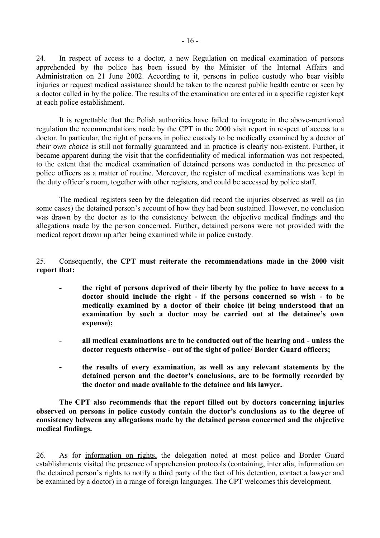24. In respect of access to a doctor, a new Regulation on medical examination of persons apprehended by the police has been issued by the Minister of the Internal Affairs and Administration on 21 June 2002. According to it, persons in police custody who bear visible injuries or request medical assistance should be taken to the nearest public health centre or seen by a doctor called in by the police. The results of the examination are entered in a specific register kept at each police establishment.

 It is regrettable that the Polish authorities have failed to integrate in the above-mentioned regulation the recommendations made by the CPT in the 2000 visit report in respect of access to a doctor. In particular, the right of persons in police custody to be medically examined by a doctor of *their own choice* is still not formally guaranteed and in practice is clearly non-existent. Further, it became apparent during the visit that the confidentiality of medical information was not respected, to the extent that the medical examination of detained persons was conducted in the presence of police officers as a matter of routine. Moreover, the register of medical examinations was kept in the duty officer's room, together with other registers, and could be accessed by police staff.

 The medical registers seen by the delegation did record the injuries observed as well as (in some cases) the detained person's account of how they had been sustained. However, no conclusion was drawn by the doctor as to the consistency between the objective medical findings and the allegations made by the person concerned. Further, detained persons were not provided with the medical report drawn up after being examined while in police custody.

## 25. Consequently, **the CPT must reiterate the recommendations made in the 2000 visit report that:**

- **the right of persons deprived of their liberty by the police to have access to a doctor should include the right - if the persons concerned so wish - to be medically examined by a doctor of their choice (it being understood that an**  examination by such a doctor may be carried out at the detainee's own **expense);**
- **all medical examinations are to be conducted out of the hearing and unless the doctor requests otherwise - out of the sight of police/ Border Guard officers;**
- **the results of every examination, as well as any relevant statements by the detained person and the doctor's conclusions, are to be formally recorded by the doctor and made available to the detainee and his lawyer.**

 **The CPT also recommends that the report filled out by doctors concerning injuries**  observed on persons in police custody contain the doctor's conclusions as to the degree of **consistency between any allegations made by the detained person concerned and the objective medical findings.** 

26. As for information on rights, the delegation noted at most police and Border Guard establishments visited the presence of apprehension protocols (containing, inter alia, information on the detained person's rights to notify a third party of the fact of his detention, contact a lawyer and be examined by a doctor) in a range of foreign languages. The CPT welcomes this development.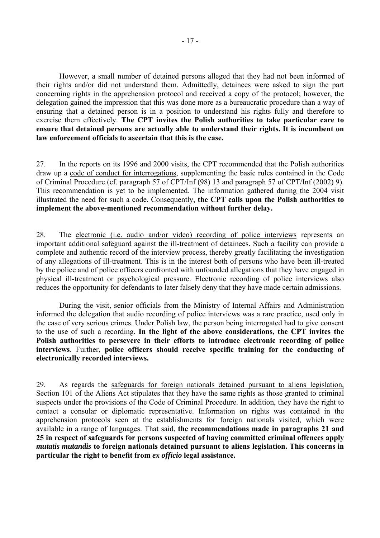However, a small number of detained persons alleged that they had not been informed of their rights and/or did not understand them. Admittedly, detainees were asked to sign the part concerning rights in the apprehension protocol and received a copy of the protocol; however, the delegation gained the impression that this was done more as a bureaucratic procedure than a way of ensuring that a detained person is in a position to understand his rights fully and therefore to exercise them effectively. **The CPT invites the Polish authorities to take particular care to ensure that detained persons are actually able to understand their rights. It is incumbent on law enforcement officials to ascertain that this is the case.**

27. In the reports on its 1996 and 2000 visits, the CPT recommended that the Polish authorities draw up a code of conduct for interrogations, supplementing the basic rules contained in the Code of Criminal Procedure (cf. paragraph 57 of CPT/Inf (98) 13 and paragraph 57 of CPT/Inf (2002) 9). This recommendation is yet to be implemented. The information gathered during the 2004 visit illustrated the need for such a code. Consequently, **the CPT calls upon the Polish authorities to implement the above-mentioned recommendation without further delay.**

28. The electronic (i.e. audio and/or video) recording of police interviews represents an important additional safeguard against the ill-treatment of detainees. Such a facility can provide a complete and authentic record of the interview process, thereby greatly facilitating the investigation of any allegations of ill-treatment. This is in the interest both of persons who have been ill-treated by the police and of police officers confronted with unfounded allegations that they have engaged in physical ill-treatment or psychological pressure. Electronic recording of police interviews also reduces the opportunity for defendants to later falsely deny that they have made certain admissions.

 During the visit, senior officials from the Ministry of Internal Affairs and Administration informed the delegation that audio recording of police interviews was a rare practice, used only in the case of very serious crimes. Under Polish law, the person being interrogated had to give consent to the use of such a recording. **In the light of the above considerations, the CPT invites the Polish authorities to persevere in their efforts to introduce electronic recording of police interviews**. Further, **police officers should receive specific training for the conducting of electronically recorded interviews.**

29. As regards the safeguards for foreign nationals detained pursuant to aliens legislation, Section 101 of the Aliens Act stipulates that they have the same rights as those granted to criminal suspects under the provisions of the Code of Criminal Procedure. In addition, they have the right to contact a consular or diplomatic representative. Information on rights was contained in the apprehension protocols seen at the establishments for foreign nationals visited, which were available in a range of languages. That said, **the recommendations made in paragraphs 21 and 25 in respect of safeguards for persons suspected of having committed criminal offences apply**  *mutatis mutandis* **to foreign nationals detained pursuant to aliens legislation. This concerns in particular the right to benefit from** *ex officio* **legal assistance.**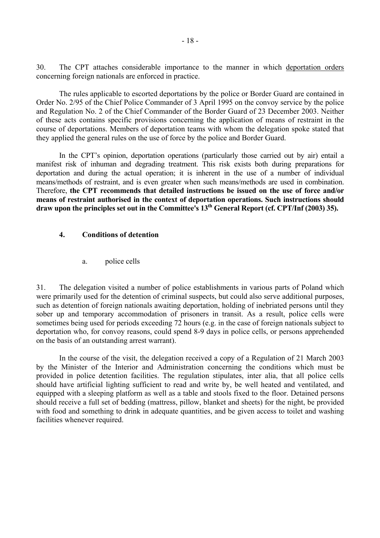<span id="page-19-0"></span>30. The CPT attaches considerable importance to the manner in which deportation orders concerning foreign nationals are enforced in practice.

 The rules applicable to escorted deportations by the police or Border Guard are contained in Order No. 2/95 of the Chief Police Commander of 3 April 1995 on the convoy service by the police and Regulation No. 2 of the Chief Commander of the Border Guard of 23 December 2003. Neither of these acts contains specific provisions concerning the application of means of restraint in the course of deportations. Members of deportation teams with whom the delegation spoke stated that they applied the general rules on the use of force by the police and Border Guard.

In the CPT's opinion, deportation operations (particularly those carried out by air) entail a manifest risk of inhuman and degrading treatment. This risk exists both during preparations for deportation and during the actual operation; it is inherent in the use of a number of individual means/methods of restraint, and is even greater when such means/methods are used in combination. Therefore, **the CPT recommends that detailed instructions be issued on the use of force and/or means of restraint authorised in the context of deportation operations. Such instructions should**  draw upon the principles set out in the Committee's 13<sup>th</sup> General Report (cf. CPT/Inf (2003) 35).

# **4. Conditions of detention**

a. police cells

31. The delegation visited a number of police establishments in various parts of Poland which were primarily used for the detention of criminal suspects, but could also serve additional purposes, such as detention of foreign nationals awaiting deportation, holding of inebriated persons until they sober up and temporary accommodation of prisoners in transit. As a result, police cells were sometimes being used for periods exceeding 72 hours (e.g. in the case of foreign nationals subject to deportation who, for convoy reasons, could spend 8-9 days in police cells, or persons apprehended on the basis of an outstanding arrest warrant).

 In the course of the visit, the delegation received a copy of a Regulation of 21 March 2003 by the Minister of the Interior and Administration concerning the conditions which must be provided in police detention facilities. The regulation stipulates, inter alia, that all police cells should have artificial lighting sufficient to read and write by, be well heated and ventilated, and equipped with a sleeping platform as well as a table and stools fixed to the floor. Detained persons should receive a full set of bedding (mattress, pillow, blanket and sheets) for the night, be provided with food and something to drink in adequate quantities, and be given access to toilet and washing facilities whenever required.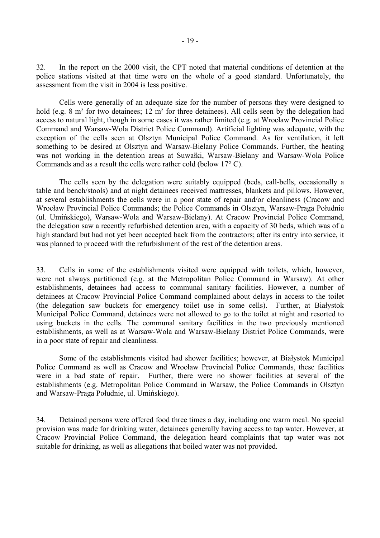32. In the report on the 2000 visit, the CPT noted that material conditions of detention at the police stations visited at that time were on the whole of a good standard. Unfortunately, the assessment from the visit in 2004 is less positive.

 Cells were generally of an adequate size for the number of persons they were designed to hold (e.g. 8 m<sup>2</sup> for two detainees; 12 m<sup>2</sup> for three detainees). All cells seen by the delegation had access to natural light, though in some cases it was rather limited (e.g. at Wrocław Provincial Police Command and Warsaw-Wola District Police Command). Artificial lighting was adequate, with the exception of the cells seen at Olsztyn Municipal Police Command. As for ventilation, it left something to be desired at Olsztyn and Warsaw-Bielany Police Commands. Further, the heating was not working in the detention areas at Suwałki, Warsaw-Bielany and Warsaw-Wola Police Commands and as a result the cells were rather cold (below 17° C).

 The cells seen by the delegation were suitably equipped (beds, call-bells, occasionally a table and bench/stools) and at night detainees received mattresses, blankets and pillows. However, at several establishments the cells were in a poor state of repair and/or cleanliness (Cracow and Wrocław Provincial Police Commands; the Police Commands in Olsztyn, Warsaw-Praga Południe (ul. Umińskiego), Warsaw-Wola and Warsaw-Bielany). At Cracow Provincial Police Command, the delegation saw a recently refurbished detention area, with a capacity of 30 beds, which was of a high standard but had not yet been accepted back from the contractors; after its entry into service, it was planned to proceed with the refurbishment of the rest of the detention areas.

33. Cells in some of the establishments visited were equipped with toilets, which, however, were not always partitioned (e.g. at the Metropolitan Police Command in Warsaw). At other establishments, detainees had access to communal sanitary facilities. However, a number of detainees at Cracow Provincial Police Command complained about delays in access to the toilet (the delegation saw buckets for emergency toilet use in some cells). Further, at Białystok Municipal Police Command, detainees were not allowed to go to the toilet at night and resorted to using buckets in the cells. The communal sanitary facilities in the two previously mentioned establishments, as well as at Warsaw-Wola and Warsaw-Bielany District Police Commands, were in a poor state of repair and cleanliness.

 Some of the establishments visited had shower facilities; however, at Białystok Municipal Police Command as well as Cracow and Wrocław Provincial Police Commands, these facilities were in a bad state of repair. Further, there were no shower facilities at several of the establishments (e.g. Metropolitan Police Command in Warsaw, the Police Commands in Olsztyn and Warsaw-Praga Południe, ul. Umińskiego).

34. Detained persons were offered food three times a day, including one warm meal. No special provision was made for drinking water, detainees generally having access to tap water. However, at Cracow Provincial Police Command, the delegation heard complaints that tap water was not suitable for drinking, as well as allegations that boiled water was not provided.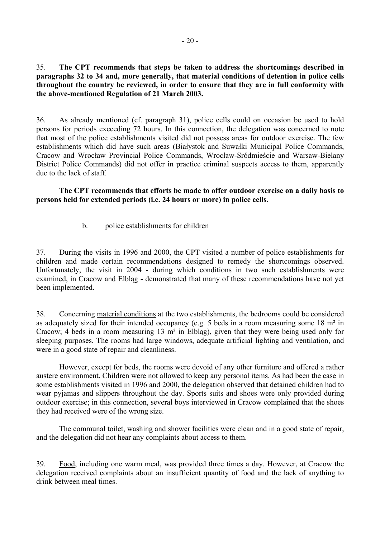<span id="page-21-0"></span>35. **The CPT recommends that steps be taken to address the shortcomings described in paragraphs 32 to 34 and, more generally, that material conditions of detention in police cells throughout the country be reviewed, in order to ensure that they are in full conformity with the above-mentioned Regulation of 21 March 2003.** 

36. As already mentioned (cf. paragraph 31), police cells could on occasion be used to hold persons for periods exceeding 72 hours. In this connection, the delegation was concerned to note that most of the police establishments visited did not possess areas for outdoor exercise. The few establishments which did have such areas (Białystok and Suwałki Municipal Police Commands, Cracow and Wrocław Provincial Police Commands, Wrocław-Sródmieście and Warsaw-Bielany District Police Commands) did not offer in practice criminal suspects access to them, apparently due to the lack of staff.

 **The CPT recommends that efforts be made to offer outdoor exercise on a daily basis to persons held for extended periods (i.e. 24 hours or more) in police cells.** 

b. police establishments for children

37. During the visits in 1996 and 2000, the CPT visited a number of police establishments for children and made certain recommendations designed to remedy the shortcomings observed. Unfortunately, the visit in 2004 - during which conditions in two such establishments were examined, in Cracow and Elbląg - demonstrated that many of these recommendations have not yet been implemented.

38. Concerning material conditions at the two establishments, the bedrooms could be considered as adequately sized for their intended occupancy (e.g. 5 beds in a room measuring some 18 m² in Cracow; 4 beds in a room measuring 13 m² in Elbląg), given that they were being used only for sleeping purposes. The rooms had large windows, adequate artificial lighting and ventilation, and were in a good state of repair and cleanliness.

 However, except for beds, the rooms were devoid of any other furniture and offered a rather austere environment. Children were not allowed to keep any personal items. As had been the case in some establishments visited in 1996 and 2000, the delegation observed that detained children had to wear pyjamas and slippers throughout the day. Sports suits and shoes were only provided during outdoor exercise; in this connection, several boys interviewed in Cracow complained that the shoes they had received were of the wrong size.

 The communal toilet, washing and shower facilities were clean and in a good state of repair, and the delegation did not hear any complaints about access to them.

39. Food, including one warm meal, was provided three times a day. However, at Cracow the delegation received complaints about an insufficient quantity of food and the lack of anything to drink between meal times.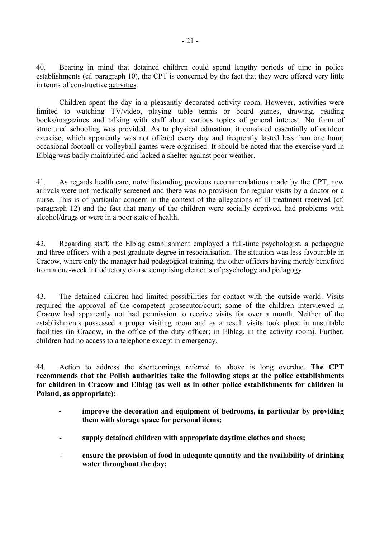40. Bearing in mind that detained children could spend lengthy periods of time in police establishments (cf. paragraph 10), the CPT is concerned by the fact that they were offered very little in terms of constructive activities.

 Children spent the day in a pleasantly decorated activity room. However, activities were limited to watching TV/video, playing table tennis or board games, drawing, reading books/magazines and talking with staff about various topics of general interest. No form of structured schooling was provided. As to physical education, it consisted essentially of outdoor exercise, which apparently was not offered every day and frequently lasted less than one hour; occasional football or volleyball games were organised. It should be noted that the exercise yard in Elbląg was badly maintained and lacked a shelter against poor weather.

41. As regards health care, notwithstanding previous recommendations made by the CPT, new arrivals were not medically screened and there was no provision for regular visits by a doctor or a nurse. This is of particular concern in the context of the allegations of ill-treatment received (cf. paragraph 12) and the fact that many of the children were socially deprived, had problems with alcohol/drugs or were in a poor state of health.

42. Regarding staff, the Elbląg establishment employed a full-time psychologist, a pedagogue and three officers with a post-graduate degree in resocialisation. The situation was less favourable in Cracow, where only the manager had pedagogical training, the other officers having merely benefited from a one-week introductory course comprising elements of psychology and pedagogy.

43. The detained children had limited possibilities for contact with the outside world. Visits required the approval of the competent prosecutor/court; some of the children interviewed in Cracow had apparently not had permission to receive visits for over a month. Neither of the establishments possessed a proper visiting room and as a result visits took place in unsuitable facilities (in Cracow, in the office of the duty officer; in Elbląg, in the activity room). Further, children had no access to a telephone except in emergency.

44. Action to address the shortcomings referred to above is long overdue. **The CPT recommends that the Polish authorities take the following steps at the police establishments for children in Cracow and Elbląg (as well as in other police establishments for children in Poland, as appropriate):**

- **improve the decoration and equipment of bedrooms, in particular by providing them with storage space for personal items;**
- **supply detained children with appropriate daytime clothes and shoes;**
- **ensure the provision of food in adequate quantity and the availability of drinking water throughout the day;**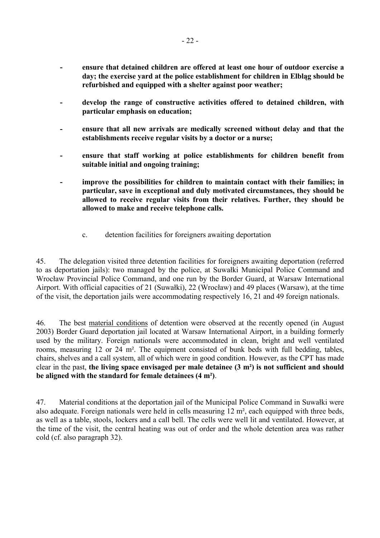- <span id="page-23-0"></span>**- ensure that detained children are offered at least one hour of outdoor exercise a day; the exercise yard at the police establishment for children in Elbląg should be refurbished and equipped with a shelter against poor weather;**
- develop the range of constructive activities offered to detained children, with **particular emphasis on education;**
- ensure that all new arrivals are medically screened without delay and that the **establishments receive regular visits by a doctor or a nurse;**
- ensure that staff working at police establishments for children benefit from **suitable initial and ongoing training;**
- **improve the possibilities for children to maintain contact with their families; in particular, save in exceptional and duly motivated circumstances, they should be allowed to receive regular visits from their relatives. Further, they should be allowed to make and receive telephone calls.** 
	- c. detention facilities for foreigners awaiting deportation

45. The delegation visited three detention facilities for foreigners awaiting deportation (referred to as deportation jails): two managed by the police, at Suwałki Municipal Police Command and Wrocław Provincial Police Command, and one run by the Border Guard, at Warsaw International Airport. With official capacities of 21 (Suwałki), 22 (Wrocław) and 49 places (Warsaw), at the time of the visit, the deportation jails were accommodating respectively 16, 21 and 49 foreign nationals.

46. The best material conditions of detention were observed at the recently opened (in August 2003) Border Guard deportation jail located at Warsaw International Airport, in a building formerly used by the military. Foreign nationals were accommodated in clean, bright and well ventilated rooms, measuring 12 or 24 m². The equipment consisted of bunk beds with full bedding, tables, chairs, shelves and a call system, all of which were in good condition. However, as the CPT has made clear in the past, **the living space envisaged per male detainee (3 m²) is not sufficient and should be aligned with the standard for female detainees (4 m²)**.

47. Material conditions at the deportation jail of the Municipal Police Command in Suwałki were also adequate. Foreign nationals were held in cells measuring 12 m², each equipped with three beds, as well as a table, stools, lockers and a call bell. The cells were well lit and ventilated. However, at the time of the visit, the central heating was out of order and the whole detention area was rather cold (cf. also paragraph 32).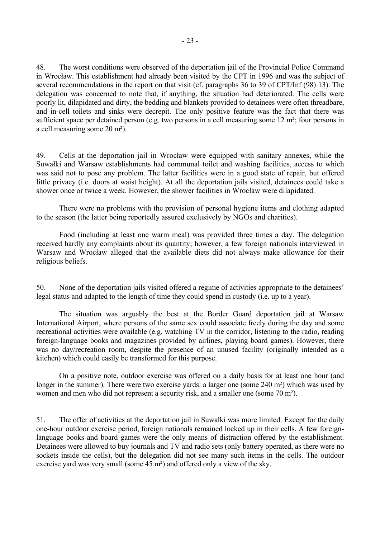48. The worst conditions were observed of the deportation jail of the Provincial Police Command in Wrocław. This establishment had already been visited by the CPT in 1996 and was the subject of several recommendations in the report on that visit (cf. paragraphs 36 to 39 of CPT/Inf (98) 13). The delegation was concerned to note that, if anything, the situation had deteriorated. The cells were poorly lit, dilapidated and dirty, the bedding and blankets provided to detainees were often threadbare, and in-cell toilets and sinks were decrepit. The only positive feature was the fact that there was sufficient space per detained person (e.g. two persons in a cell measuring some 12 m²; four persons in a cell measuring some 20 m²).

49. Cells at the deportation jail in Wrocław were equipped with sanitary annexes, while the Suwałki and Warsaw establishments had communal toilet and washing facilities, access to which was said not to pose any problem. The latter facilities were in a good state of repair, but offered little privacy (i.e. doors at waist height). At all the deportation jails visited, detainees could take a shower once or twice a week. However, the shower facilities in Wrocław were dilapidated.

 There were no problems with the provision of personal hygiene items and clothing adapted to the season (the latter being reportedly assured exclusively by NGOs and charities).

 Food (including at least one warm meal) was provided three times a day. The delegation received hardly any complaints about its quantity; however, a few foreign nationals interviewed in Warsaw and Wrocław alleged that the available diets did not always make allowance for their religious beliefs.

50. None of the deportation jails visited offered a regime of activities appropriate to the detainees' legal status and adapted to the length of time they could spend in custody (i.e. up to a year).

 The situation was arguably the best at the Border Guard deportation jail at Warsaw International Airport, where persons of the same sex could associate freely during the day and some recreational activities were available (e.g. watching TV in the corridor, listening to the radio, reading foreign-language books and magazines provided by airlines, playing board games). However, there was no day/recreation room, despite the presence of an unused facility (originally intended as a kitchen) which could easily be transformed for this purpose.

On a positive note, outdoor exercise was offered on a daily basis for at least one hour (and longer in the summer). There were two exercise yards: a larger one (some 240 m<sup>2</sup>) which was used by women and men who did not represent a security risk, and a smaller one (some 70 m²).

51. The offer of activities at the deportation jail in Suwałki was more limited. Except for the daily one-hour outdoor exercise period, foreign nationals remained locked up in their cells. A few foreignlanguage books and board games were the only means of distraction offered by the establishment. Detainees were allowed to buy journals and TV and radio sets (only battery operated, as there were no sockets inside the cells), but the delegation did not see many such items in the cells. The outdoor exercise yard was very small (some 45 m²) and offered only a view of the sky.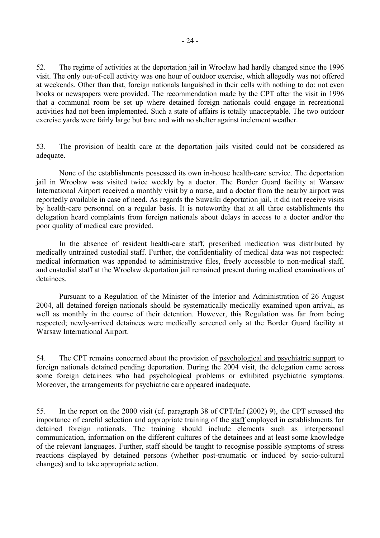52. The regime of activities at the deportation jail in Wrocław had hardly changed since the 1996 visit. The only out-of-cell activity was one hour of outdoor exercise, which allegedly was not offered at weekends. Other than that, foreign nationals languished in their cells with nothing to do: not even books or newspapers were provided. The recommendation made by the CPT after the visit in 1996 that a communal room be set up where detained foreign nationals could engage in recreational activities had not been implemented. Such a state of affairs is totally unacceptable. The two outdoor exercise yards were fairly large but bare and with no shelter against inclement weather.

53. The provision of health care at the deportation jails visited could not be considered as adequate.

 None of the establishments possessed its own in-house health-care service. The deportation jail in Wrocław was visited twice weekly by a doctor. The Border Guard facility at Warsaw International Airport received a monthly visit by a nurse, and a doctor from the nearby airport was reportedly available in case of need. As regards the Suwałki deportation jail, it did not receive visits by health-care personnel on a regular basis. It is noteworthy that at all three establishments the delegation heard complaints from foreign nationals about delays in access to a doctor and/or the poor quality of medical care provided.

 In the absence of resident health-care staff, prescribed medication was distributed by medically untrained custodial staff. Further, the confidentiality of medical data was not respected: medical information was appended to administrative files, freely accessible to non-medical staff, and custodial staff at the Wrocław deportation jail remained present during medical examinations of detainees.

 Pursuant to a Regulation of the Minister of the Interior and Administration of 26 August 2004, all detained foreign nationals should be systematically medically examined upon arrival, as well as monthly in the course of their detention. However, this Regulation was far from being respected; newly-arrived detainees were medically screened only at the Border Guard facility at Warsaw International Airport.

54. The CPT remains concerned about the provision of psychological and psychiatric support to foreign nationals detained pending deportation. During the 2004 visit, the delegation came across some foreign detainees who had psychological problems or exhibited psychiatric symptoms. Moreover, the arrangements for psychiatric care appeared inadequate.

55. In the report on the 2000 visit (cf. paragraph 38 of CPT/Inf (2002) 9), the CPT stressed the importance of careful selection and appropriate training of the staff employed in establishments for detained foreign nationals. The training should include elements such as interpersonal communication, information on the different cultures of the detainees and at least some knowledge of the relevant languages. Further, staff should be taught to recognise possible symptoms of stress reactions displayed by detained persons (whether post-traumatic or induced by socio-cultural changes) and to take appropriate action.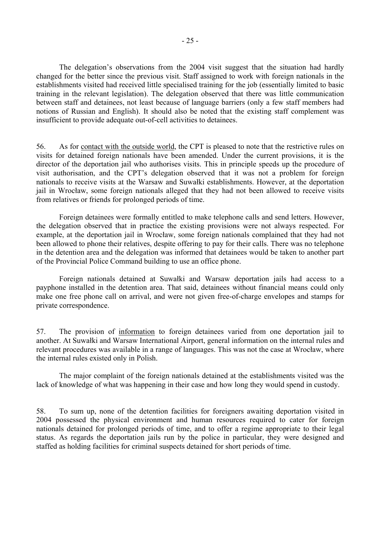The delegation's observations from the 2004 visit suggest that the situation had hardly changed for the better since the previous visit. Staff assigned to work with foreign nationals in the establishments visited had received little specialised training for the job (essentially limited to basic training in the relevant legislation). The delegation observed that there was little communication between staff and detainees, not least because of language barriers (only a few staff members had notions of Russian and English). It should also be noted that the existing staff complement was insufficient to provide adequate out-of-cell activities to detainees.

56. As for contact with the outside world, the CPT is pleased to note that the restrictive rules on visits for detained foreign nationals have been amended. Under the current provisions, it is the director of the deportation jail who authorises visits. This in principle speeds up the procedure of visit authorisation, and the CPT's delegation observed that it was not a problem for foreign nationals to receive visits at the Warsaw and Suwałki establishments. However, at the deportation jail in Wrocław, some foreign nationals alleged that they had not been allowed to receive visits from relatives or friends for prolonged periods of time.

 Foreign detainees were formally entitled to make telephone calls and send letters. However, the delegation observed that in practice the existing provisions were not always respected. For example, at the deportation jail in Wrocław, some foreign nationals complained that they had not been allowed to phone their relatives, despite offering to pay for their calls. There was no telephone in the detention area and the delegation was informed that detainees would be taken to another part of the Provincial Police Command building to use an office phone.

 Foreign nationals detained at Suwałki and Warsaw deportation jails had access to a payphone installed in the detention area. That said, detainees without financial means could only make one free phone call on arrival, and were not given free-of-charge envelopes and stamps for private correspondence.

57. The provision of information to foreign detainees varied from one deportation jail to another. At Suwałki and Warsaw International Airport, general information on the internal rules and relevant procedures was available in a range of languages. This was not the case at Wrocław, where the internal rules existed only in Polish.

 The major complaint of the foreign nationals detained at the establishments visited was the lack of knowledge of what was happening in their case and how long they would spend in custody.

58. To sum up, none of the detention facilities for foreigners awaiting deportation visited in 2004 possessed the physical environment and human resources required to cater for foreign nationals detained for prolonged periods of time, and to offer a regime appropriate to their legal status. As regards the deportation jails run by the police in particular, they were designed and staffed as holding facilities for criminal suspects detained for short periods of time.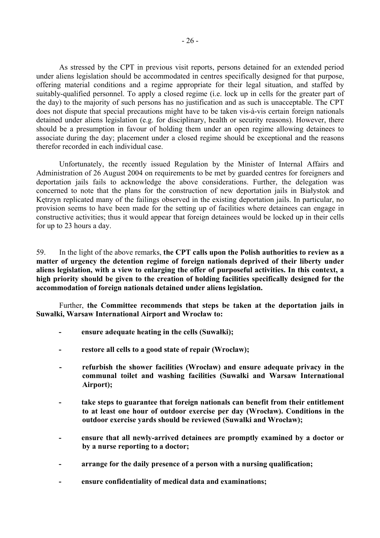As stressed by the CPT in previous visit reports, persons detained for an extended period under aliens legislation should be accommodated in centres specifically designed for that purpose, offering material conditions and a regime appropriate for their legal situation, and staffed by suitably-qualified personnel. To apply a closed regime (i.e. lock up in cells for the greater part of the day) to the majority of such persons has no justification and as such is unacceptable. The CPT does not dispute that special precautions might have to be taken vis- $\dot{a}$ -vis certain foreign nationals detained under aliens legislation (e.g. for disciplinary, health or security reasons). However, there should be a presumption in favour of holding them under an open regime allowing detainees to associate during the day; placement under a closed regime should be exceptional and the reasons therefor recorded in each individual case.

 Unfortunately, the recently issued Regulation by the Minister of Internal Affairs and Administration of 26 August 2004 on requirements to be met by guarded centres for foreigners and deportation jails fails to acknowledge the above considerations. Further, the delegation was concerned to note that the plans for the construction of new deportation jails in Białystok and Kętrzyn replicated many of the failings observed in the existing deportation jails. In particular, no provision seems to have been made for the setting up of facilities where detainees can engage in constructive activities; thus it would appear that foreign detainees would be locked up in their cells for up to 23 hours a day.

59. In the light of the above remarks, **the CPT calls upon the Polish authorities to review as a matter of urgency the detention regime of foreign nationals deprived of their liberty under aliens legislation, with a view to enlarging the offer of purposeful activities. In this context, a high priority should be given to the creation of holding facilities specifically designed for the accommodation of foreign nationals detained under aliens legislation.** 

Further, **the Committee recommends that steps be taken at the deportation jails in Suwałki, Warsaw International Airport and Wrocław to:** 

- **ensure adequate heating in the cells (Suwałki);**
- restore all cells to a good state of repair (Wroclaw);
- **refurbish the shower facilities (Wrocław) and ensure adequate privacy in the communal toilet and washing facilities (Suwałki and Warsaw International Airport);**
- **take steps to guarantee that foreign nationals can benefit from their entitlement to at least one hour of outdoor exercise per day (Wrocław). Conditions in the outdoor exercise yards should be reviewed (Suwalki and Wrocław);**
- **ensure that all newly-arrived detainees are promptly examined by a doctor or by a nurse reporting to a doctor;**
- **arrange for the daily presence of a person with a nursing qualification;**
- **ensure confidentiality of medical data and examinations;**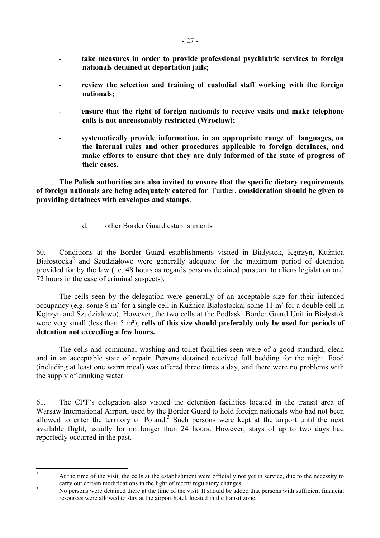- <span id="page-28-0"></span>**- take measures in order to provide professional psychiatric services to foreign nationals detained at deportation jails;**
- review the selection and training of custodial staff working with the foreign **nationals;**
- **ensure that the right of foreign nationals to receive visits and make telephone calls is not unreasonably restricted (Wrocław);**
- **systematically provide information, in an appropriate range of languages, on the internal rules and other procedures applicable to foreign detainees, and make efforts to ensure that they are duly informed of the state of progress of their cases.**

 **The Polish authorities are also invited to ensure that the specific dietary requirements of foreign nationals are being adequately catered for**. Further, **consideration should be given to providing detainees with envelopes and stamps**.

d. other Border Guard establishments

60. Conditions at the Border Guard establishments visited in Białystok, Kętrzyn, Kuźnica Białostocka<sup>[2](#page-28-1)</sup> and Szudziałowo were generally adequate for the maximum period of detention provided for by the law (i.e. 48 hours as regards persons detained pursuant to aliens legislation and 72 hours in the case of criminal suspects).

 The cells seen by the delegation were generally of an acceptable size for their intended occupancy (e.g. some 8 m² for a single cell in Kuźnica Białostocka; some 11 m² for a double cell in Kętrzyn and Szudziałowo). However, the two cells at the Podlaski Border Guard Unit in Białystok were very small (less than 5 m²); **cells of this size should preferably only be used for periods of detention not exceeding a few hours.**

 The cells and communal washing and toilet facilities seen were of a good standard, clean and in an acceptable state of repair. Persons detained received full bedding for the night. Food (including at least one warm meal) was offered three times a day, and there were no problems with the supply of drinking water.

61. The CPT's delegation also visited the detention facilities located in the transit area of Warsaw International Airport, used by the Border Guard to hold foreign nationals who had not been allowed to enter the territory of Poland.<sup>[3](#page-28-2)</sup> Such persons were kept at the airport until the next available flight, usually for no longer than 24 hours. However, stays of up to two days had reportedly occurred in the past.

<span id="page-28-1"></span> $\frac{1}{2}$  At the time of the visit, the cells at the establishment were officially not yet in service, due to the necessity to carry out certain modifications in the light of recent regulatory changes.

<span id="page-28-2"></span>No persons were detained there at the time of the visit. It should be added that persons with sufficient financial resources were allowed to stay at the airport hotel, located in the transit zone.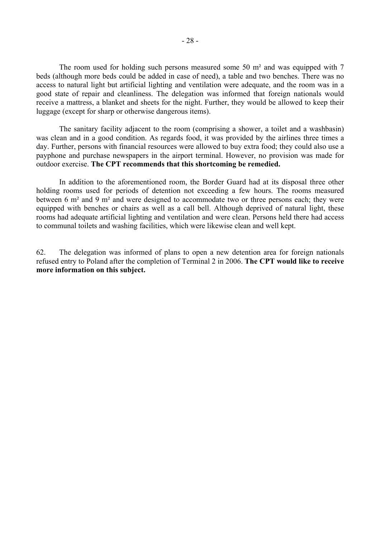The room used for holding such persons measured some 50 m² and was equipped with 7 beds (although more beds could be added in case of need), a table and two benches. There was no access to natural light but artificial lighting and ventilation were adequate, and the room was in a good state of repair and cleanliness. The delegation was informed that foreign nationals would receive a mattress, a blanket and sheets for the night. Further, they would be allowed to keep their luggage (except for sharp or otherwise dangerous items).

 The sanitary facility adjacent to the room (comprising a shower, a toilet and a washbasin) was clean and in a good condition. As regards food, it was provided by the airlines three times a day. Further, persons with financial resources were allowed to buy extra food; they could also use a payphone and purchase newspapers in the airport terminal. However, no provision was made for outdoor exercise. **The CPT recommends that this shortcoming be remedied.**

 In addition to the aforementioned room, the Border Guard had at its disposal three other holding rooms used for periods of detention not exceeding a few hours. The rooms measured between 6 m² and 9 m² and were designed to accommodate two or three persons each; they were equipped with benches or chairs as well as a call bell. Although deprived of natural light, these rooms had adequate artificial lighting and ventilation and were clean. Persons held there had access to communal toilets and washing facilities, which were likewise clean and well kept.

62. The delegation was informed of plans to open a new detention area for foreign nationals refused entry to Poland after the completion of Terminal 2 in 2006. **The CPT would like to receive more information on this subject.**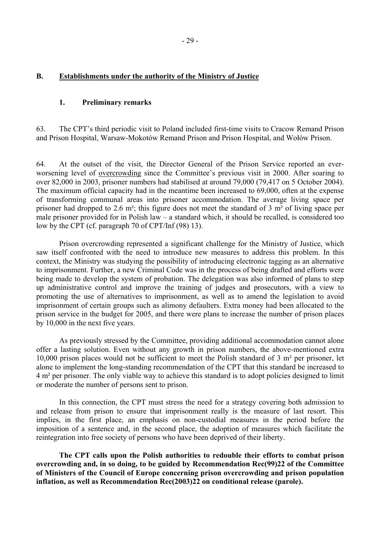#### <span id="page-30-0"></span>**B. Establishments under the authority of the Ministry of Justice**

## **1. Preliminary remarks**

63. The CPT's third periodic visit to Poland included first-time visits to Cracow Remand Prison and Prison Hospital, Warsaw-Mokotów Remand Prison and Prison Hospital, and Wołów Prison.

64. At the outset of the visit, the Director General of the Prison Service reported an everworsening level of overcrowding since the Committee's previous visit in 2000. After soaring to over 82,000 in 2003, prisoner numbers had stabilised at around 79,000 (79,417 on 5 October 2004). The maximum official capacity had in the meantime been increased to 69,000, often at the expense of transforming communal areas into prisoner accommodation. The average living space per prisoner had dropped to 2.6 m²; this figure does not meet the standard of 3 m² of living space per male prisoner provided for in Polish law  $-$  a standard which, it should be recalled, is considered too low by the CPT (cf. paragraph 70 of CPT/Inf (98) 13).

 Prison overcrowding represented a significant challenge for the Ministry of Justice, which saw itself confronted with the need to introduce new measures to address this problem. In this context, the Ministry was studying the possibility of introducing electronic tagging as an alternative to imprisonment. Further, a new Criminal Code was in the process of being drafted and efforts were being made to develop the system of probation. The delegation was also informed of plans to step up administrative control and improve the training of judges and prosecutors, with a view to promoting the use of alternatives to imprisonment, as well as to amend the legislation to avoid imprisonment of certain groups such as alimony defaulters. Extra money had been allocated to the prison service in the budget for 2005, and there were plans to increase the number of prison places by 10,000 in the next five years.

As previously stressed by the Committee, providing additional accommodation cannot alone offer a lasting solution. Even without any growth in prison numbers, the above-mentioned extra 10,000 prison places would not be sufficient to meet the Polish standard of 3 m² per prisoner, let alone to implement the long-standing recommendation of the CPT that this standard be increased to 4 m² per prisoner. The only viable way to achieve this standard is to adopt policies designed to limit or moderate the number of persons sent to prison.

 In this connection, the CPT must stress the need for a strategy covering both admission to and release from prison to ensure that imprisonment really is the measure of last resort. This implies, in the first place, an emphasis on non-custodial measures in the period before the imposition of a sentence and, in the second place, the adoption of measures which facilitate the reintegration into free society of persons who have been deprived of their liberty.

**The CPT calls upon the Polish authorities to redouble their efforts to combat prison overcrowding and, in so doing, to be guided by Recommendation Rec(99)22 of the Committee of Ministers of the Council of Europe concerning prison overcrowding and prison population inflation, as well as Recommendation Rec(2003)22 on conditional release (parole).**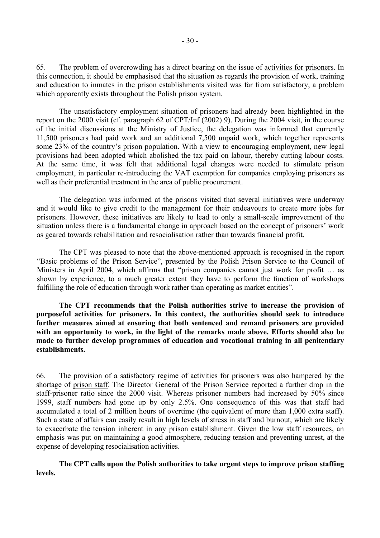65. The problem of overcrowding has a direct bearing on the issue of activities for prisoners. In this connection, it should be emphasised that the situation as regards the provision of work, training and education to inmates in the prison establishments visited was far from satisfactory, a problem which apparently exists throughout the Polish prison system.

The unsatisfactory employment situation of prisoners had already been highlighted in the report on the 2000 visit (cf. paragraph 62 of CPT/Inf (2002) 9). During the 2004 visit, in the course of the initial discussions at the Ministry of Justice, the delegation was informed that currently 11,500 prisoners had paid work and an additional 7,500 unpaid work, which together represents some 23% of the country's prison population. With a view to encouraging employment, new legal provisions had been adopted which abolished the tax paid on labour, thereby cutting labour costs. At the same time, it was felt that additional legal changes were needed to stimulate prison employment, in particular re-introducing the VAT exemption for companies employing prisoners as well as their preferential treatment in the area of public procurement.

The delegation was informed at the prisons visited that several initiatives were underway and it would like to give credit to the management for their endeavours to create more jobs for prisoners. However, these initiatives are likely to lead to only a small-scale improvement of the situation unless there is a fundamental change in approach based on the concept of prisoners' work as geared towards rehabilitation and resocialisation rather than towards financial profit.

 The CPT was pleased to note that the above-mentioned approach is recognised in the report ìBasic problems of the Prison Serviceî, presented by the Polish Prison Service to the Council of Ministers in April 2004, which affirms that "prison companies cannot just work for profit ... as shown by experience, to a much greater extent they have to perform the function of workshops fulfilling the role of education through work rather than operating as market entities".

 **The CPT recommends that the Polish authorities strive to increase the provision of purposeful activities for prisoners. In this context, the authorities should seek to introduce further measures aimed at ensuring that both sentenced and remand prisoners are provided with an opportunity to work, in the light of the remarks made above. Efforts should also be made to further develop programmes of education and vocational training in all penitentiary establishments.** 

66. The provision of a satisfactory regime of activities for prisoners was also hampered by the shortage of prison staff. The Director General of the Prison Service reported a further drop in the staff-prisoner ratio since the 2000 visit. Whereas prisoner numbers had increased by 50% since 1999, staff numbers had gone up by only 2.5%. One consequence of this was that staff had accumulated a total of 2 million hours of overtime (the equivalent of more than 1,000 extra staff). Such a state of affairs can easily result in high levels of stress in staff and burnout, which are likely to exacerbate the tension inherent in any prison establishment. Given the low staff resources, an emphasis was put on maintaining a good atmosphere, reducing tension and preventing unrest, at the expense of developing resocialisation activities.

 **The CPT calls upon the Polish authorities to take urgent steps to improve prison staffing levels.**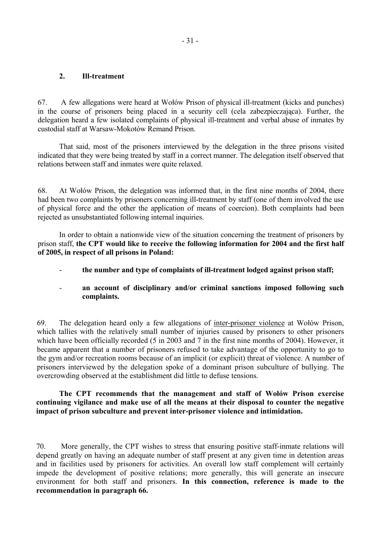#### <span id="page-32-0"></span>**2. Ill-treatment**

67. A few allegations were heard at Wołów Prison of physical ill-treatment (kicks and punches) in the course of prisoners being placed in a security cell (cela zabezpieczająca). Further, the delegation heard a few isolated complaints of physical ill-treatment and verbal abuse of inmates by custodial staff at Warsaw-Mokotów Remand Prison

 That said, most of the prisoners interviewed by the delegation in the three prisons visited indicated that they were being treated by staff in a correct manner. The delegation itself observed that relations between staff and inmates were quite relaxed.

68. At Wołów Prison, the delegation was informed that, in the first nine months of 2004, there had been two complaints by prisoners concerning ill-treatment by staff (one of them involved the use of physical force and the other the application of means of coercion). Both complaints had been rejected as unsubstantiated following internal inquiries.

 In order to obtain a nationwide view of the situation concerning the treatment of prisoners by prison staff, **the CPT would like to receive the following information for 2004 and the first half of 2005, in respect of all prisons in Poland:** 

- **the number and type of complaints of ill-treatment lodged against prison staff;**
- **an account of disciplinary and/or criminal sanctions imposed following such complaints.**

69. The delegation heard only a few allegations of inter-prisoner violence at Wołów Prison, which tallies with the relatively small number of injuries caused by prisoners to other prisoners which have been officially recorded (5 in 2003 and 7 in the first nine months of 2004). However, it became apparent that a number of prisoners refused to take advantage of the opportunity to go to the gym and/or recreation rooms because of an implicit (or explicit) threat of violence. A number of prisoners interviewed by the delegation spoke of a dominant prison subculture of bullying. The overcrowding observed at the establishment did little to defuse tensions.

#### The CPT recommends that the management and staff of Wołów Prison exercise **continuing vigilance and make use of all the means at their disposal to counter the negative impact of prison subculture and prevent inter-prisoner violence and intimidation.**

70. More generally, the CPT wishes to stress that ensuring positive staff-inmate relations will depend greatly on having an adequate number of staff present at any given time in detention areas and in facilities used by prisoners for activities. An overall low staff complement will certainly impede the development of positive relations; more generally, this will generate an insecure environment for both staff and prisoners. **In this connection, reference is made to the recommendation in paragraph 66.**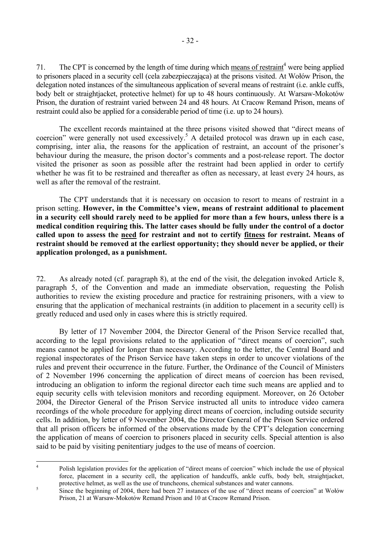71. The CPT is concerned by the length of time during which means of restraint<sup>[4](#page-33-0)</sup> were being applied to prisoners placed in a security cell (cela zabezpieczająca) at the prisons visited. At Wołów Prison, the delegation noted instances of the simultaneous application of several means of restraint (i.e. ankle cuffs, body belt or straightjacket, protective helmet) for up to 48 hours continuously. At Warsaw-Mokotów Prison, the duration of restraint varied between 24 and 48 hours. At Cracow Remand Prison, means of restraint could also be applied for a considerable period of time (i.e. up to 24 hours).

The excellent records maintained at the three prisons visited showed that "direct means of coercion" were generally not used excessively.<sup>[5](#page-33-1)</sup> A detailed protocol was drawn up in each case, comprising, inter alia, the reasons for the application of restraint, an account of the prisoner's behaviour during the measure, the prison doctor's comments and a post-release report. The doctor visited the prisoner as soon as possible after the restraint had been applied in order to certify whether he was fit to be restrained and thereafter as often as necessary, at least every 24 hours, as well as after the removal of the restraint.

 The CPT understands that it is necessary on occasion to resort to means of restraint in a prison setting. However, in the Committee's view, means of restraint additional to placement **in a security cell should rarely need to be applied for more than a few hours, unless there is a medical condition requiring this. The latter cases should be fully under the control of a doctor called upon to assess the need for restraint and not to certify fitness for restraint. Means of restraint should be removed at the earliest opportunity; they should never be applied, or their application prolonged, as a punishment.**

72. As already noted (cf. paragraph 8), at the end of the visit, the delegation invoked Article 8, paragraph 5, of the Convention and made an immediate observation, requesting the Polish authorities to review the existing procedure and practice for restraining prisoners, with a view to ensuring that the application of mechanical restraints (in addition to placement in a security cell) is greatly reduced and used only in cases where this is strictly required.

 By letter of 17 November 2004, the Director General of the Prison Service recalled that, according to the legal provisions related to the application of "direct means of coercion", such means cannot be applied for longer than necessary. According to the letter, the Central Board and regional inspectorates of the Prison Service have taken steps in order to uncover violations of the rules and prevent their occurrence in the future. Further, the Ordinance of the Council of Ministers of 2 November 1996 concerning the application of direct means of coercion has been revised, introducing an obligation to inform the regional director each time such means are applied and to equip security cells with television monitors and recording equipment. Moreover, on 26 October 2004, the Director General of the Prison Service instructed all units to introduce video camera recordings of the whole procedure for applying direct means of coercion, including outside security cells. In addition, by letter of 9 November 2004, the Director General of the Prison Service ordered that all prison officers be informed of the observations made by the CPT's delegation concerning the application of means of coercion to prisoners placed in security cells. Special attention is also said to be paid by visiting penitentiary judges to the use of means of coercion.

 $\frac{1}{4}$ 

<span id="page-33-0"></span>Polish legislation provides for the application of "direct means of coercion" which include the use of physical force, placement in a security cell, the application of handcuffs, ankle cuffs, body belt, straightjacket, protective helmet, as well as the use of truncheons, chemical substances and water cannons.

<span id="page-33-1"></span>Since the beginning of 2004, there had been 27 instances of the use of "direct means of coercion" at Wołów Prison, 21 at Warsaw-Mokotów Remand Prison and 10 at Cracow Remand Prison.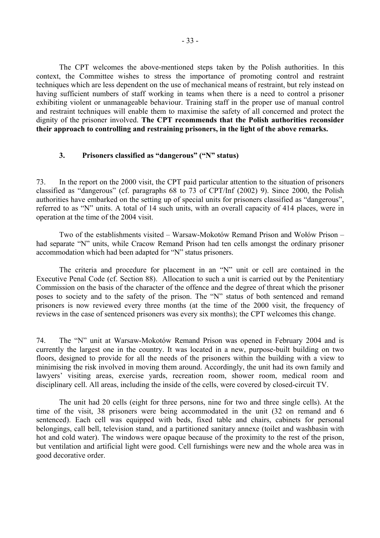<span id="page-34-0"></span> The CPT welcomes the above-mentioned steps taken by the Polish authorities. In this context, the Committee wishes to stress the importance of promoting control and restraint techniques which are less dependent on the use of mechanical means of restraint, but rely instead on having sufficient numbers of staff working in teams when there is a need to control a prisoner exhibiting violent or unmanageable behaviour. Training staff in the proper use of manual control and restraint techniques will enable them to maximise the safety of all concerned and protect the dignity of the prisoner involved. **The CPT recommends that the Polish authorities reconsider their approach to controlling and restraining prisoners, in the light of the above remarks.**

#### **3.** Prisoners classified as "dangerous" ("N" status)

73. In the report on the 2000 visit, the CPT paid particular attention to the situation of prisoners classified as "dangerous" (cf. paragraphs  $68$  to  $73$  of CPT/Inf (2002) 9). Since 2000, the Polish authorities have embarked on the setting up of special units for prisoners classified as "dangerous", referred to as "N" units. A total of 14 such units, with an overall capacity of 414 places, were in operation at the time of the 2004 visit.

Two of the establishments visited  $-$  Warsaw-Mokotów Remand Prison and Wołów Prison  $$ had separate "N" units, while Cracow Remand Prison had ten cells amongst the ordinary prisoner accommodation which had been adapted for "N" status prisoners.

The criteria and procedure for placement in an "N" unit or cell are contained in the Executive Penal Code (cf. Section 88). Allocation to such a unit is carried out by the Penitentiary Commission on the basis of the character of the offence and the degree of threat which the prisoner poses to society and to the safety of the prison. The "N" status of both sentenced and remand prisoners is now reviewed every three months (at the time of the 2000 visit, the frequency of reviews in the case of sentenced prisoners was every six months); the CPT welcomes this change.

74. The "N" unit at Warsaw-Mokotów Remand Prison was opened in February 2004 and is currently the largest one in the country. It was located in a new, purpose-built building on two floors, designed to provide for all the needs of the prisoners within the building with a view to minimising the risk involved in moving them around. Accordingly, the unit had its own family and lawyers' visiting areas, exercise yards, recreation room, shower room, medical room and disciplinary cell. All areas, including the inside of the cells, were covered by closed-circuit TV.

 The unit had 20 cells (eight for three persons, nine for two and three single cells). At the time of the visit, 38 prisoners were being accommodated in the unit (32 on remand and 6 sentenced). Each cell was equipped with beds, fixed table and chairs, cabinets for personal belongings, call bell, television stand, and a partitioned sanitary annexe (toilet and washbasin with hot and cold water). The windows were opaque because of the proximity to the rest of the prison, but ventilation and artificial light were good. Cell furnishings were new and the whole area was in good decorative order.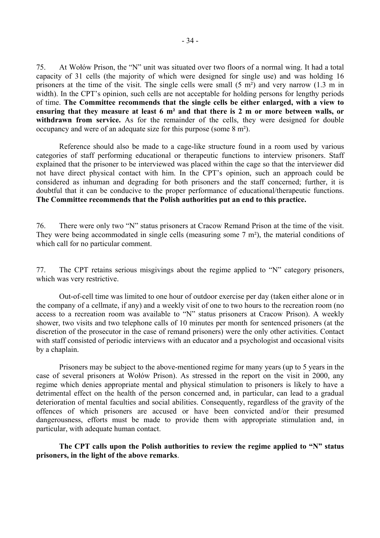75. At Wołów Prison, the "N" unit was situated over two floors of a normal wing. It had a total capacity of 31 cells (the majority of which were designed for single use) and was holding 16 prisoners at the time of the visit. The single cells were small (5 m²) and very narrow (1.3 m in width). In the CPT's opinion, such cells are not acceptable for holding persons for lengthy periods of time. **The Committee recommends that the single cells be either enlarged, with a view to ensuring that they measure at least 6 m² and that there is 2 m or more between walls, or withdrawn from service.** As for the remainder of the cells, they were designed for double occupancy and were of an adequate size for this purpose (some 8 m²).

 Reference should also be made to a cage-like structure found in a room used by various categories of staff performing educational or therapeutic functions to interview prisoners. Staff explained that the prisoner to be interviewed was placed within the cage so that the interviewer did not have direct physical contact with him. In the CPT's opinion, such an approach could be considered as inhuman and degrading for both prisoners and the staff concerned; further, it is doubtful that it can be conducive to the proper performance of educational/therapeutic functions. **The Committee recommends that the Polish authorities put an end to this practice.**

76. There were only two "N" status prisoners at Cracow Remand Prison at the time of the visit. They were being accommodated in single cells (measuring some 7 m<sup>2</sup>), the material conditions of which call for no particular comment.

77. The CPT retains serious misgivings about the regime applied to "N" category prisoners, which was very restrictive.

 Out-of-cell time was limited to one hour of outdoor exercise per day (taken either alone or in the company of a cellmate, if any) and a weekly visit of one to two hours to the recreation room (no access to a recreation room was available to "N" status prisoners at Cracow Prison). A weekly shower, two visits and two telephone calls of 10 minutes per month for sentenced prisoners (at the discretion of the prosecutor in the case of remand prisoners) were the only other activities. Contact with staff consisted of periodic interviews with an educator and a psychologist and occasional visits by a chaplain.

Prisoners may be subject to the above-mentioned regime for many years (up to 5 years in the case of several prisoners at Wołów Prison). As stressed in the report on the visit in 2000, any regime which denies appropriate mental and physical stimulation to prisoners is likely to have a detrimental effect on the health of the person concerned and, in particular, can lead to a gradual deterioration of mental faculties and social abilities. Consequently, regardless of the gravity of the offences of which prisoners are accused or have been convicted and/or their presumed dangerousness, efforts must be made to provide them with appropriate stimulation and, in particular, with adequate human contact.

The CPT calls upon the Polish authorities to review the regime applied to "N" status **prisoners, in the light of the above remarks**.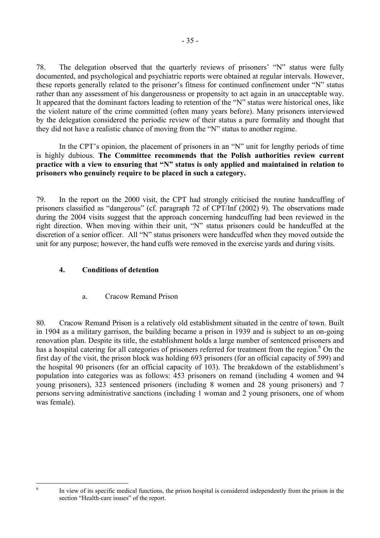78. The delegation observed that the quarterly reviews of prisoners<sup>'</sup> "N" status were fully documented, and psychological and psychiatric reports were obtained at regular intervals. However, these reports generally related to the prisoner's fitness for continued confinement under "N" status rather than any assessment of his dangerousness or propensity to act again in an unacceptable way. It appeared that the dominant factors leading to retention of the "N" status were historical ones, like the violent nature of the crime committed (often many years before). Many prisoners interviewed by the delegation considered the periodic review of their status a pure formality and thought that they did not have a realistic chance of moving from the "N" status to another regime.

In the CPT's opinion, the placement of prisoners in an  $\gamma$ "N" unit for lengthy periods of time is highly dubious. **The Committee recommends that the Polish authorities review current**  practice with a view to ensuring that "N" status is only applied and maintained in relation to **prisoners who genuinely require to be placed in such a category.** 

79. In the report on the 2000 visit, the CPT had strongly criticised the routine handcuffing of prisoners classified as "dangerous" (cf. paragraph 72 of CPT/Inf (2002) 9). The observations made during the 2004 visits suggest that the approach concerning handcuffing had been reviewed in the right direction. When moving within their unit, "N" status prisoners could be handcuffed at the discretion of a senior officer. All "N" status prisoners were handcuffed when they moved outside the unit for any purpose; however, the hand cuffs were removed in the exercise yards and during visits.

# **4. Conditions of detention**

a. Cracow Remand Prison

80. Cracow Remand Prison is a relatively old establishment situated in the centre of town. Built in 1904 as a military garrison, the building became a prison in 1939 and is subject to an on-going renovation plan. Despite its title, the establishment holds a large number of sentenced prisoners and has a hospital catering for all categories of prisoners referred for treatment from the region.<sup>6</sup> [O](#page-36-0)n the first day of the visit, the prison block was holding 693 prisoners (for an official capacity of 599) and the hospital 90 prisoners (for an official capacity of 103). The breakdown of the establishment's population into categories was as follows: 453 prisoners on remand (including 4 women and 94 young prisoners), 323 sentenced prisoners (including 8 women and 28 young prisoners) and 7 persons serving administrative sanctions (including 1 woman and 2 young prisoners, one of whom was female).

<span id="page-36-0"></span> 6

In view of its specific medical functions, the prison hospital is considered independently from the prison in the section "Health-care issues" of the report.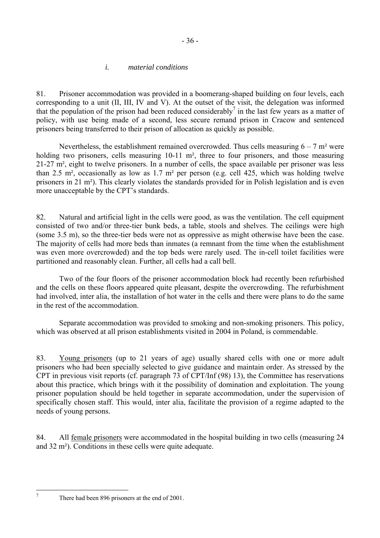## *i. material conditions*

81. Prisoner accommodation was provided in a boomerang-shaped building on four levels, each corresponding to a unit (II, III, IV and V). At the outset of the visit, the delegation was informed thatthe population of the prison had been reduced considerably<sup>7</sup> in the last few years as a matter of policy, with use being made of a second, less secure remand prison in Cracow and sentenced prisoners being transferred to their prison of allocation as quickly as possible.

- 36 -

Nevertheless, the establishment remained overcrowded. Thus cells measuring  $6 - 7$  m<sup>2</sup> were holding two prisoners, cells measuring 10-11 m<sup>2</sup>, three to four prisoners, and those measuring 21-27 m², eight to twelve prisoners. In a number of cells, the space available per prisoner was less than 2.5 m², occasionally as low as 1.7 m² per person (e.g. cell 425, which was holding twelve prisoners in 21 m²). This clearly violates the standards provided for in Polish legislation and is even more unacceptable by the CPT's standards.

82. Natural and artificial light in the cells were good, as was the ventilation. The cell equipment consisted of two and/or three-tier bunk beds, a table, stools and shelves. The ceilings were high (some 3.5 m), so the three-tier beds were not as oppressive as might otherwise have been the case. The majority of cells had more beds than inmates (a remnant from the time when the establishment was even more overcrowded) and the top beds were rarely used. The in-cell toilet facilities were partitioned and reasonably clean. Further, all cells had a call bell.

 Two of the four floors of the prisoner accommodation block had recently been refurbished and the cells on these floors appeared quite pleasant, despite the overcrowding. The refurbishment had involved, inter alia, the installation of hot water in the cells and there were plans to do the same in the rest of the accommodation.

 Separate accommodation was provided to smoking and non-smoking prisoners. This policy, which was observed at all prison establishments visited in 2004 in Poland, is commendable.

83. Young prisoners (up to 21 years of age) usually shared cells with one or more adult prisoners who had been specially selected to give guidance and maintain order. As stressed by the CPT in previous visit reports (cf. paragraph 73 of CPT/Inf (98) 13), the Committee has reservations about this practice, which brings with it the possibility of domination and exploitation. The young prisoner population should be held together in separate accommodation, under the supervision of specifically chosen staff. This would, inter alia, facilitate the provision of a regime adapted to the needs of young persons.

84. All female prisoners were accommodated in the hospital building in two cells (measuring 24 and 32 m²). Conditions in these cells were quite adequate.

<span id="page-37-0"></span><sup>-</sup>7

There had been 896 prisoners at the end of 2001.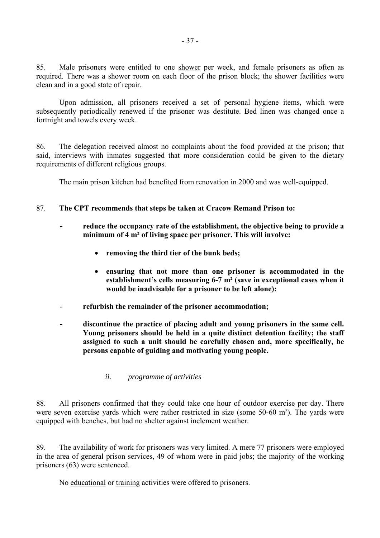85. Male prisoners were entitled to one shower per week, and female prisoners as often as required. There was a shower room on each floor of the prison block; the shower facilities were clean and in a good state of repair.

 Upon admission, all prisoners received a set of personal hygiene items, which were subsequently periodically renewed if the prisoner was destitute. Bed linen was changed once a fortnight and towels every week.

86. The delegation received almost no complaints about the food provided at the prison; that said, interviews with inmates suggested that more consideration could be given to the dietary requirements of different religious groups.

The main prison kitchen had benefited from renovation in 2000 and was well-equipped.

## 87. **The CPT recommends that steps be taken at Cracow Remand Prison to:**

- **reduce the occupancy rate of the establishment, the objective being to provide a minimum of 4 m² of living space per prisoner. This will involve:** 
	- **removing the third tier of the bunk beds;**
	- **ensuring that not more than one prisoner is accommodated in the**  establishment's cells measuring 6-7 m<sup>2</sup> (save in exceptional cases when it **would be inadvisable for a prisoner to be left alone);**
- **refurbish the remainder of the prisoner accommodation;**
- **discontinue the practice of placing adult and young prisoners in the same cell. Young prisoners should be held in a quite distinct detention facility; the staff assigned to such a unit should be carefully chosen and, more specifically, be persons capable of guiding and motivating young people.** 
	- *ii. programme of activities*

88. All prisoners confirmed that they could take one hour of outdoor exercise per day. There were seven exercise yards which were rather restricted in size (some 50-60 m²). The yards were equipped with benches, but had no shelter against inclement weather.

89. The availability of work for prisoners was very limited. A mere 77 prisoners were employed in the area of general prison services, 49 of whom were in paid jobs; the majority of the working prisoners (63) were sentenced.

No educational or training activities were offered to prisoners.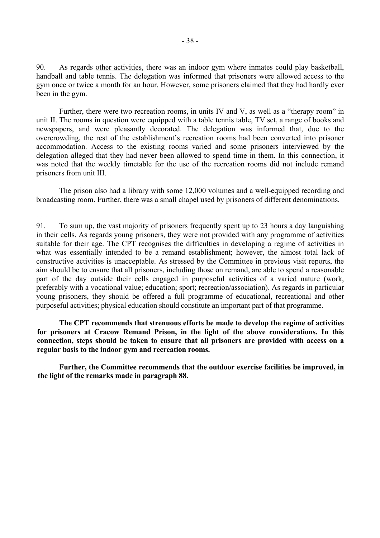90. As regards other activities, there was an indoor gym where inmates could play basketball, handball and table tennis. The delegation was informed that prisoners were allowed access to the gym once or twice a month for an hour. However, some prisoners claimed that they had hardly ever been in the gym.

Further, there were two recreation rooms, in units IV and V, as well as a "therapy room" in unit II. The rooms in question were equipped with a table tennis table, TV set, a range of books and newspapers, and were pleasantly decorated. The delegation was informed that, due to the overcrowding, the rest of the establishment's recreation rooms had been converted into prisoner accommodation. Access to the existing rooms varied and some prisoners interviewed by the delegation alleged that they had never been allowed to spend time in them. In this connection, it was noted that the weekly timetable for the use of the recreation rooms did not include remand prisoners from unit III.

 The prison also had a library with some 12,000 volumes and a well-equipped recording and broadcasting room. Further, there was a small chapel used by prisoners of different denominations.

91. To sum up, the vast majority of prisoners frequently spent up to 23 hours a day languishing in their cells. As regards young prisoners, they were not provided with any programme of activities suitable for their age. The CPT recognises the difficulties in developing a regime of activities in what was essentially intended to be a remand establishment; however, the almost total lack of constructive activities is unacceptable. As stressed by the Committee in previous visit reports, the aim should be to ensure that all prisoners, including those on remand, are able to spend a reasonable part of the day outside their cells engaged in purposeful activities of a varied nature (work, preferably with a vocational value; education; sport; recreation/association). As regards in particular young prisoners, they should be offered a full programme of educational, recreational and other purposeful activities; physical education should constitute an important part of that programme.

**The CPT recommends that strenuous efforts be made to develop the regime of activities for prisoners at Cracow Remand Prison, in the light of the above considerations. In this connection, steps should be taken to ensure that all prisoners are provided with access on a regular basis to the indoor gym and recreation rooms.** 

 **Further, the Committee recommends that the outdoor exercise facilities be improved, in the light of the remarks made in paragraph 88.**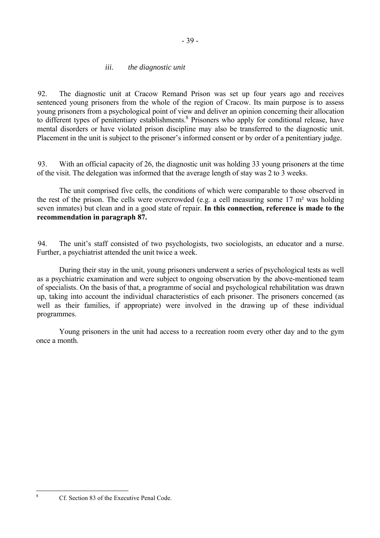## *iii. the diagnostic unit*

92. The diagnostic unit at Cracow Remand Prison was set up four years ago and receives sentenced young prisoners from the whole of the region of Cracow. Its main purpose is to assess young prisoners from a psychological point of view and deliver an opinion concerning their allocation to different types of penitentiary establishments.<sup>[8](#page-40-0)</sup> Prisoners who apply for conditional release, have mental disorders or have violated prison discipline may also be transferred to the diagnostic unit. Placement in the unit is subject to the prisoner's informed consent or by order of a penitentiary judge.

93. With an official capacity of 26, the diagnostic unit was holding 33 young prisoners at the time of the visit. The delegation was informed that the average length of stay was 2 to 3 weeks.

 The unit comprised five cells, the conditions of which were comparable to those observed in the rest of the prison. The cells were overcrowded (e.g. a cell measuring some 17 m² was holding seven inmates) but clean and in a good state of repair. **In this connection, reference is made to the recommendation in paragraph 87.**

94. The unit's staff consisted of two psychologists, two sociologists, an educator and a nurse. Further, a psychiatrist attended the unit twice a week.

 During their stay in the unit, young prisoners underwent a series of psychological tests as well as a psychiatric examination and were subject to ongoing observation by the above-mentioned team of specialists. On the basis of that, a programme of social and psychological rehabilitation was drawn up, taking into account the individual characteristics of each prisoner. The prisoners concerned (as well as their families, if appropriate) were involved in the drawing up of these individual programmes.

Young prisoners in the unit had access to a recreation room every other day and to the gym once a month.

<span id="page-40-0"></span>8

Cf. Section 83 of the Executive Penal Code.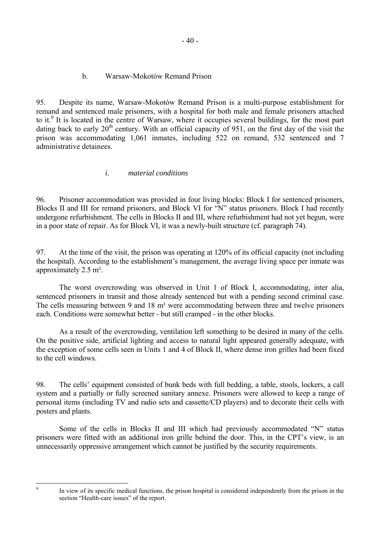## b. Warsaw-Mokotów Remand Prison

95. Despite its name, Warsaw-Mokotów Remand Prison is a multi-purpose establishment for remand and sentenced male prisoners, with a hospital for both male and female prisoners attached to it.<sup>[9](#page-41-0)</sup> It is located in the centre of Warsaw, where it occupies several buildings, for the most part dating back to early  $20<sup>th</sup>$  century. With an official capacity of 951, on the first day of the visit the prison was accommodating 1,061 inmates, including 522 on remand, 532 sentenced and 7 administrative detainees.

# *i. material conditions*

96. Prisoner accommodation was provided in four living blocks: Block I for sentenced prisoners, Blocks II and III for remand prisoners, and Block VI for "N" status prisoners. Block I had recently undergone refurbishment. The cells in Blocks II and III, where refurbishment had not yet begun, were in a poor state of repair. As for Block VI, it was a newly-built structure (cf. paragraph 74).

97. At the time of the visit, the prison was operating at 120% of its official capacity (not including the hospital). According to the establishment's management, the average living space per inmate was approximately 2.5 m².

 The worst overcrowding was observed in Unit 1 of Block I, accommodating, inter alia, sentenced prisoners in transit and those already sentenced but with a pending second criminal case. The cells measuring between 9 and 18 m² were accommodating between three and twelve prisoners each. Conditions were somewhat better - but still cramped - in the other blocks.

 As a result of the overcrowding, ventilation left something to be desired in many of the cells. On the positive side, artificial lighting and access to natural light appeared generally adequate, with the exception of some cells seen in Units 1 and 4 of Block II, where dense iron grilles had been fixed to the cell windows.

98. The cells' equipment consisted of bunk beds with full bedding, a table, stools, lockers, a call system and a partially or fully screened sanitary annexe. Prisoners were allowed to keep a range of personal items (including TV and radio sets and cassette/CD players) and to decorate their cells with posters and plants.

Some of the cells in Blocks II and III which had previously accommodated "N" status prisoners were fitted with an additional iron grille behind the door. This, in the CPT's view, is an unnecessarily oppressive arrangement which cannot be justified by the security requirements.

<span id="page-41-0"></span>-<br>9

In view of its specific medical functions, the prison hospital is considered independently from the prison in the section "Health-care issues" of the report.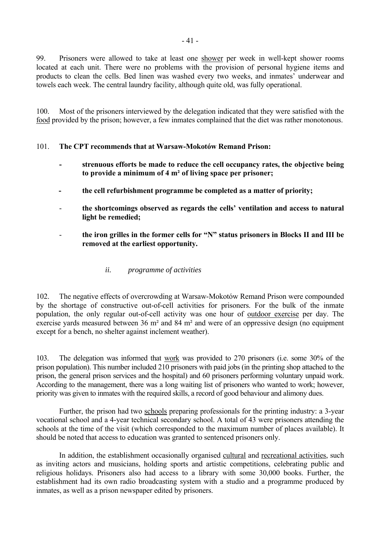99. Prisoners were allowed to take at least one shower per week in well-kept shower rooms located at each unit. There were no problems with the provision of personal hygiene items and products to clean the cells. Bed linen was washed every two weeks, and inmates' underwear and towels each week. The central laundry facility, although quite old, was fully operational.

100. Most of the prisoners interviewed by the delegation indicated that they were satisfied with the food provided by the prison; however, a few inmates complained that the diet was rather monotonous.

# 101. **The CPT recommends that at Warsaw-Mokotów Remand Prison:**

- **strenuous efforts be made to reduce the cell occupancy rates, the objective being to provide a minimum of 4 m² of living space per prisoner;**
- **the cell refurbishment programme be completed as a matter of priority;**
- the shortcomings observed as regards the cells' ventilation and access to natural **light be remedied;**
- the iron grilles in the former cells for "N" status prisoners in Blocks II and III be **removed at the earliest opportunity.** 
	- *ii. programme of activities*

102. The negative effects of overcrowding at Warsaw-Mokotów Remand Prison were compounded by the shortage of constructive out-of-cell activities for prisoners. For the bulk of the inmate population, the only regular out-of-cell activity was one hour of outdoor exercise per day. The exercise yards measured between 36 m² and 84 m² and were of an oppressive design (no equipment except for a bench, no shelter against inclement weather).

103. The delegation was informed that work was provided to 270 prisoners (i.e. some 30% of the prison population). This number included 210 prisoners with paid jobs (in the printing shop attached to the prison, the general prison services and the hospital) and 60 prisoners performing voluntary unpaid work. According to the management, there was a long waiting list of prisoners who wanted to work; however, priority was given to inmates with the required skills, a record of good behaviour and alimony dues.

 Further, the prison had two schools preparing professionals for the printing industry: a 3-year vocational school and a 4-year technical secondary school. A total of 43 were prisoners attending the schools at the time of the visit (which corresponded to the maximum number of places available). It should be noted that access to education was granted to sentenced prisoners only.

 In addition, the establishment occasionally organised cultural and recreational activities, such as inviting actors and musicians, holding sports and artistic competitions, celebrating public and religious holidays. Prisoners also had access to a library with some 30,000 books. Further, the establishment had its own radio broadcasting system with a studio and a programme produced by inmates, as well as a prison newspaper edited by prisoners.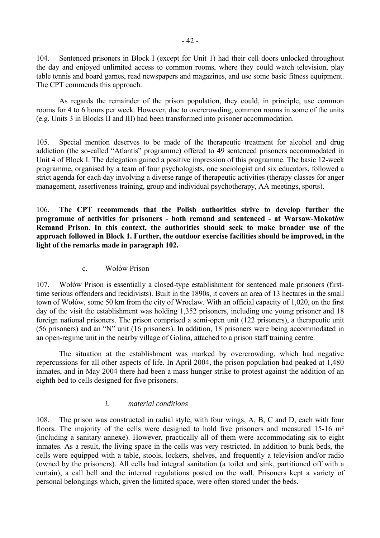104. Sentenced prisoners in Block I (except for Unit 1) had their cell doors unlocked throughout the day and enjoyed unlimited access to common rooms, where they could watch television, play table tennis and board games, read newspapers and magazines, and use some basic fitness equipment. The CPT commends this approach.

 As regards the remainder of the prison population, they could, in principle, use common rooms for 4 to 6 hours per week. However, due to overcrowding, common rooms in some of the units (e.g. Units 3 in Blocks II and III) had been transformed into prisoner accommodation.

105. Special mention deserves to be made of the therapeutic treatment for alcohol and drug addiction (the so-called "Atlantis" programme) offered to 49 sentenced prisoners accommodated in Unit 4 of Block I. The delegation gained a positive impression of this programme. The basic 12-week programme, organised by a team of four psychologists, one sociologist and six educators, followed a strict agenda for each day involving a diverse range of therapeutic activities (therapy classes for anger management, assertiveness training, group and individual psychotherapy, AA meetings, sports).

106. **The CPT recommends that the Polish authorities strive to develop further the programme of activities for prisoners - both remand and sentenced - at Warsaw-Mokotów Remand Prison. In this context, the authorities should seek to make broader use of the approach followed in Block 1. Further, the outdoor exercise facilities should be improved, in the light of the remarks made in paragraph 102.** 

## c. Wołów Prison

107. Wołów Prison is essentially a closed-type establishment for sentenced male prisoners (firsttime serious offenders and recidivists). Built in the 1890s, it covers an area of 13 hectares in the small town of Wołów, some 50 km from the city of Wroclaw. With an official capacity of 1,020, on the first day of the visit the establishment was holding 1,352 prisoners, including one young prisoner and 18 foreign national prisoners. The prison comprised a semi-open unit (122 prisoners), a therapeutic unit (56 prisoners) and an  $\gamma$ <sup>n</sup> unit (16 prisoners). In addition, 18 prisoners were being accommodated in an open-regime unit in the nearby village of Golina, attached to a prison staff training centre.

 The situation at the establishment was marked by overcrowding, which had negative repercussions for all other aspects of life. In April 2004, the prison population had peaked at 1,480 inmates, and in May 2004 there had been a mass hunger strike to protest against the addition of an eighth bed to cells designed for five prisoners.

# *i. material conditions*

108. The prison was constructed in radial style, with four wings, A, B, C and D, each with four floors. The majority of the cells were designed to hold five prisoners and measured 15-16 m<sup>2</sup> (including a sanitary annexe). However, practically all of them were accommodating six to eight inmates. As a result, the living space in the cells was very restricted. In addition to bunk beds, the cells were equipped with a table, stools, lockers, shelves, and frequently a television and/or radio (owned by the prisoners). All cells had integral sanitation (a toilet and sink, partitioned off with a curtain), a call bell and the internal regulations posted on the wall. Prisoners kept a variety of personal belongings which, given the limited space, were often stored under the beds.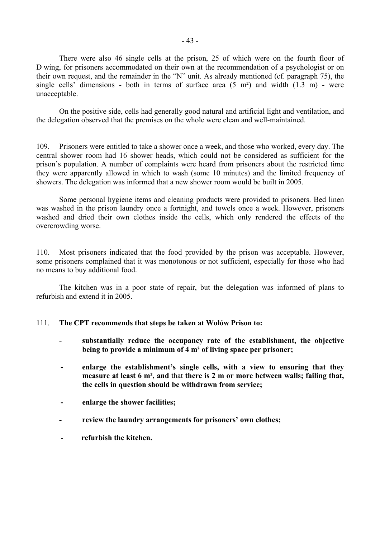There were also 46 single cells at the prison, 25 of which were on the fourth floor of D wing, for prisoners accommodated on their own at the recommendation of a psychologist or on their own request, and the remainder in the  $\gamma_{N}$  unit. As already mentioned (cf. paragraph 75), the single cells' dimensions - both in terms of surface area  $(5 \text{ m}^2)$  and width  $(1.3 \text{ m})$  - were unacceptable.

 On the positive side, cells had generally good natural and artificial light and ventilation, and the delegation observed that the premises on the whole were clean and well-maintained.

109. Prisoners were entitled to take a shower once a week, and those who worked, every day. The central shower room had 16 shower heads, which could not be considered as sufficient for the prison's population. A number of complaints were heard from prisoners about the restricted time they were apparently allowed in which to wash (some 10 minutes) and the limited frequency of showers. The delegation was informed that a new shower room would be built in 2005.

 Some personal hygiene items and cleaning products were provided to prisoners. Bed linen was washed in the prison laundry once a fortnight, and towels once a week. However, prisoners washed and dried their own clothes inside the cells, which only rendered the effects of the overcrowding worse.

110. Most prisoners indicated that the food provided by the prison was acceptable. However, some prisoners complained that it was monotonous or not sufficient, especially for those who had no means to buy additional food.

 The kitchen was in a poor state of repair, but the delegation was informed of plans to refurbish and extend it in 2005.

## 111. The CPT recommends that steps be taken at Wołów Prison to:

- **substantially reduce the occupancy rate of the establishment, the objective being to provide a minimum of 4 m² of living space per prisoner;**
- **-** enlarge the establishment's single cells, with a view to ensuring that they **measure at least 6 m², and** that **there is 2 m or more between walls; failing that, the cells in question should be withdrawn from service;**
- **enlarge the shower facilities;**
- review the laundry arrangements for prisoners' own clothes;
- **refurbish the kitchen.**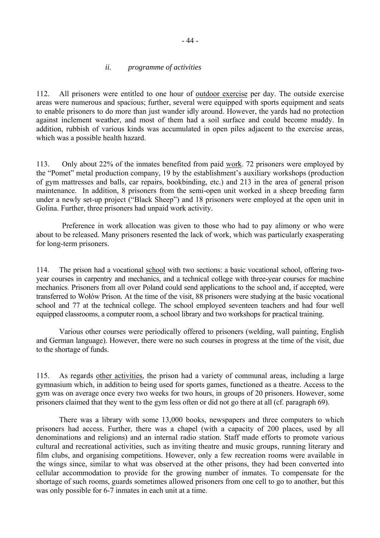## *ii. programme of activities*

112. All prisoners were entitled to one hour of outdoor exercise per day. The outside exercise areas were numerous and spacious; further, several were equipped with sports equipment and seats to enable prisoners to do more than just wander idly around. However, the yards had no protection against inclement weather, and most of them had a soil surface and could become muddy. In addition, rubbish of various kinds was accumulated in open piles adjacent to the exercise areas, which was a possible health hazard.

113. Only about 22% of the inmates benefited from paid work. 72 prisoners were employed by the "Pomet" metal production company, 19 by the establishment's auxiliary workshops (production of gym mattresses and balls, car repairs, bookbinding, etc.) and 213 in the area of general prison maintenance. In addition, 8 prisoners from the semi-open unit worked in a sheep breeding farm under a newly set-up project ("Black Sheep") and 18 prisoners were employed at the open unit in Golina. Further, three prisoners had unpaid work activity.

 Preference in work allocation was given to those who had to pay alimony or who were about to be released. Many prisoners resented the lack of work, which was particularly exasperating for long-term prisoners.

114. The prison had a vocational school with two sections: a basic vocational school, offering twoyear courses in carpentry and mechanics, and a technical college with three-year courses for machine mechanics. Prisoners from all over Poland could send applications to the school and, if accepted, were transferred to Wołów Prison. At the time of the visit, 88 prisoners were studying at the basic vocational school and 77 at the technical college. The school employed seventeen teachers and had four well equipped classrooms, a computer room, a school library and two workshops for practical training.

 Various other courses were periodically offered to prisoners (welding, wall painting, English and German language). However, there were no such courses in progress at the time of the visit, due to the shortage of funds.

115. As regards other activities, the prison had a variety of communal areas, including a large gymnasium which, in addition to being used for sports games, functioned as a theatre. Access to the gym was on average once every two weeks for two hours, in groups of 20 prisoners. However, some prisoners claimed that they went to the gym less often or did not go there at all (cf. paragraph 69).

 There was a library with some 13,000 books, newspapers and three computers to which prisoners had access. Further, there was a chapel (with a capacity of 200 places, used by all denominations and religions) and an internal radio station. Staff made efforts to promote various cultural and recreational activities, such as inviting theatre and music groups, running literary and film clubs, and organising competitions. However, only a few recreation rooms were available in the wings since, similar to what was observed at the other prisons, they had been converted into cellular accommodation to provide for the growing number of inmates. To compensate for the shortage of such rooms, guards sometimes allowed prisoners from one cell to go to another, but this was only possible for 6-7 inmates in each unit at a time.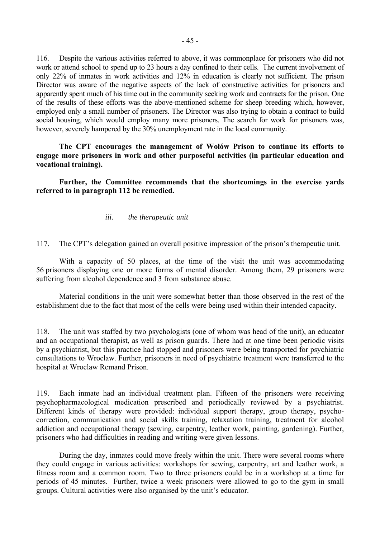116. Despite the various activities referred to above, it was commonplace for prisoners who did not work or attend school to spend up to 23 hours a day confined to their cells. The current involvement of only 22% of inmates in work activities and 12% in education is clearly not sufficient. The prison Director was aware of the negative aspects of the lack of constructive activities for prisoners and apparently spent much of his time out in the community seeking work and contracts for the prison. One of the results of these efforts was the above-mentioned scheme for sheep breeding which, however, employed only a small number of prisoners. The Director was also trying to obtain a contract to build social housing, which would employ many more prisoners. The search for work for prisoners was, however, severely hampered by the 30% unemployment rate in the local community.

The CPT encourages the management of Wołów Prison to continue its efforts to **engage more prisoners in work and other purposeful activities (in particular education and vocational training).**

 **Further, the Committee recommends that the shortcomings in the exercise yards referred to in paragraph 112 be remedied.** 

### *iii. the therapeutic unit*

117. The CPT's delegation gained an overall positive impression of the prison's therapeutic unit.

With a capacity of 50 places, at the time of the visit the unit was accommodating 56 prisoners displaying one or more forms of mental disorder. Among them, 29 prisoners were suffering from alcohol dependence and 3 from substance abuse.

 Material conditions in the unit were somewhat better than those observed in the rest of the establishment due to the fact that most of the cells were being used within their intended capacity.

118. The unit was staffed by two psychologists (one of whom was head of the unit), an educator and an occupational therapist, as well as prison guards. There had at one time been periodic visits by a psychiatrist, but this practice had stopped and prisoners were being transported for psychiatric consultations to Wroclaw. Further, prisoners in need of psychiatric treatment were transferred to the hospital at Wroclaw Remand Prison.

119. Each inmate had an individual treatment plan. Fifteen of the prisoners were receiving psychopharmacological medication prescribed and periodically reviewed by a psychiatrist. Different kinds of therapy were provided: individual support therapy, group therapy, psychocorrection, communication and social skills training, relaxation training, treatment for alcohol addiction and occupational therapy (sewing, carpentry, leather work, painting, gardening). Further, prisoners who had difficulties in reading and writing were given lessons.

 During the day, inmates could move freely within the unit. There were several rooms where they could engage in various activities: workshops for sewing, carpentry, art and leather work, a fitness room and a common room. Two to three prisoners could be in a workshop at a time for periods of 45 minutes. Further, twice a week prisoners were allowed to go to the gym in small groups. Cultural activities were also organised by the unit's educator.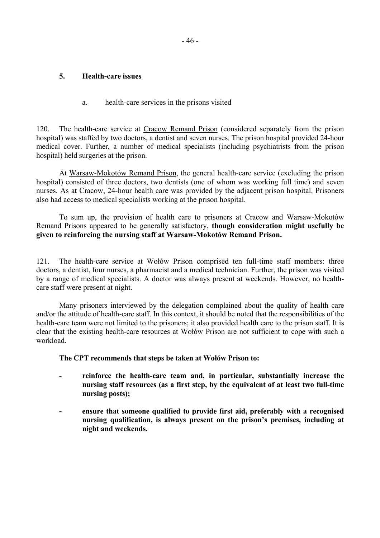## **5. Health-care issues**

a. health-care services in the prisons visited

120. The health-care service at Cracow Remand Prison (considered separately from the prison hospital) was staffed by two doctors, a dentist and seven nurses. The prison hospital provided 24-hour medical cover. Further, a number of medical specialists (including psychiatrists from the prison hospital) held surgeries at the prison.

At Warsaw-Mokotów Remand Prison, the general health-care service (excluding the prison hospital) consisted of three doctors, two dentists (one of whom was working full time) and seven nurses. As at Cracow, 24-hour health care was provided by the adjacent prison hospital. Prisoners also had access to medical specialists working at the prison hospital.

To sum up, the provision of health care to prisoners at Cracow and Warsaw-Mokotów Remand Prisons appeared to be generally satisfactory, **though consideration might usefully be given to reinforcing the nursing staff at Warsaw-Mokotów Remand Prison.** 

121. The health-care service at Wołów Prison comprised ten full-time staff members: three doctors, a dentist, four nurses, a pharmacist and a medical technician. Further, the prison was visited by a range of medical specialists. A doctor was always present at weekends. However, no healthcare staff were present at night.

 Many prisoners interviewed by the delegation complained about the quality of health care and/or the attitude of health-care staff. In this context, it should be noted that the responsibilities of the health-care team were not limited to the prisoners; it also provided health care to the prison staff. It is clear that the existing health-care resources at Wołów Prison are not sufficient to cope with such a workload.

**The CPT recommends that steps be taken at Wołów Prison to:** 

- **reinforce the health-care team and, in particular, substantially increase the nursing staff resources (as a first step, by the equivalent of at least two full-time nursing posts);**
- **ensure that someone qualified to provide first aid, preferably with a recognised**  nursing qualification, is always present on the prison's premises, including at **night and weekends.**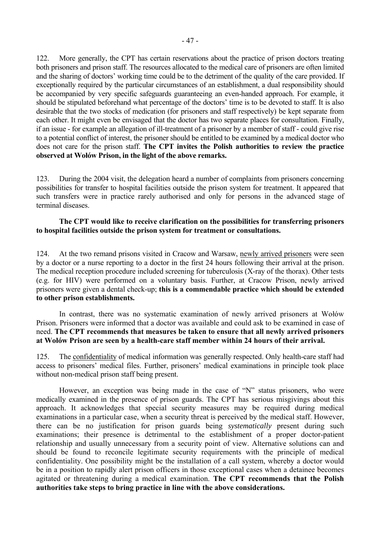122. More generally, the CPT has certain reservations about the practice of prison doctors treating both prisoners and prison staff. The resources allocated to the medical care of prisoners are often limited and the sharing of doctors' working time could be to the detriment of the quality of the care provided. If exceptionally required by the particular circumstances of an establishment, a dual responsibility should be accompanied by very specific safeguards guaranteeing an even-handed approach. For example, it should be stipulated beforehand what percentage of the doctors' time is to be devoted to staff. It is also desirable that the two stocks of medication (for prisoners and staff respectively) be kept separate from each other. It might even be envisaged that the doctor has two separate places for consultation. Finally, if an issue - for example an allegation of ill-treatment of a prisoner by a member of staff - could give rise to a potential conflict of interest, the prisoner should be entitled to be examined by a medical doctor who does not care for the prison staff. **The CPT invites the Polish authorities to review the practice observed at WołÛw Prison, in the light of the above remarks.**

123. During the 2004 visit, the delegation heard a number of complaints from prisoners concerning possibilities for transfer to hospital facilities outside the prison system for treatment. It appeared that such transfers were in practice rarely authorised and only for persons in the advanced stage of terminal diseases.

## **The CPT would like to receive clarification on the possibilities for transferring prisoners to hospital facilities outside the prison system for treatment or consultations.**

124. At the two remand prisons visited in Cracow and Warsaw, newly arrived prisoners were seen by a doctor or a nurse reporting to a doctor in the first 24 hours following their arrival at the prison. The medical reception procedure included screening for tuberculosis (X-ray of the thorax). Other tests (e.g. for HIV) were performed on a voluntary basis. Further, at Cracow Prison, newly arrived prisoners were given a dental check-up; **this is a commendable practice which should be extended to other prison establishments.**

In contrast, there was no systematic examination of newly arrived prisoners at Wołów Prison. Prisoners were informed that a doctor was available and could ask to be examined in case of need. **The CPT recommends that measures be taken to ensure that all newly arrived prisoners at WołÛw Prison are seen by a health-care staff member within 24 hours of their arrival.** 

125. The confidentiality of medical information was generally respected. Only health-care staff had access to prisoners' medical files. Further, prisoners' medical examinations in principle took place without non-medical prison staff being present.

However, an exception was being made in the case of  $\gamma$ <sup>n</sup> status prisoners, who were medically examined in the presence of prison guards. The CPT has serious misgivings about this approach. It acknowledges that special security measures may be required during medical examinations in a particular case, when a security threat is perceived by the medical staff. However, there can be no justification for prison guards being *systematically* present during such examinations; their presence is detrimental to the establishment of a proper doctor-patient relationship and usually unnecessary from a security point of view. Alternative solutions can and should be found to reconcile legitimate security requirements with the principle of medical confidentiality. One possibility might be the installation of a call system, whereby a doctor would be in a position to rapidly alert prison officers in those exceptional cases when a detainee becomes agitated or threatening during a medical examination. **The CPT recommends that the Polish authorities take steps to bring practice in line with the above considerations.**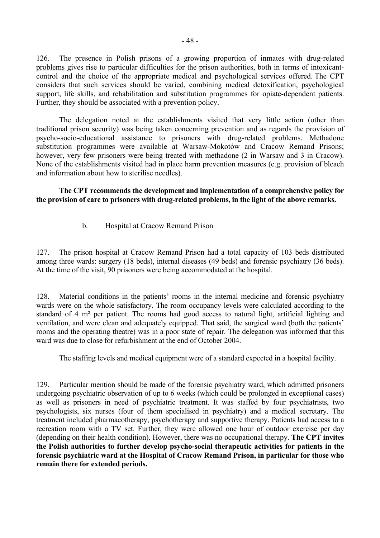126. The presence in Polish prisons of a growing proportion of inmates with drug-related problems gives rise to particular difficulties for the prison authorities, both in terms of intoxicantcontrol and the choice of the appropriate medical and psychological services offered. The CPT considers that such services should be varied, combining medical detoxification, psychological support, life skills, and rehabilitation and substitution programmes for opiate-dependent patients. Further, they should be associated with a prevention policy.

 The delegation noted at the establishments visited that very little action (other than traditional prison security) was being taken concerning prevention and as regards the provision of psycho-socio-educational assistance to prisoners with drug-related problems. Methadone substitution programmes were available at Warsaw-Mokotów and Cracow Remand Prisons; however, very few prisoners were being treated with methadone (2 in Warsaw and 3 in Cracow). None of the establishments visited had in place harm prevention measures (e.g. provision of bleach and information about how to sterilise needles).

**The CPT recommends the development and implementation of a comprehensive policy for the provision of care to prisoners with drug-related problems, in the light of the above remarks.** 

b. Hospital at Cracow Remand Prison

127. The prison hospital at Cracow Remand Prison had a total capacity of 103 beds distributed among three wards: surgery (18 beds), internal diseases (49 beds) and forensic psychiatry (36 beds). At the time of the visit, 90 prisoners were being accommodated at the hospital.

128. Material conditions in the patients' rooms in the internal medicine and forensic psychiatry wards were on the whole satisfactory. The room occupancy levels were calculated according to the standard of 4 m² per patient. The rooms had good access to natural light, artificial lighting and ventilation, and were clean and adequately equipped. That said, the surgical ward (both the patients<sup>†</sup> rooms and the operating theatre) was in a poor state of repair. The delegation was informed that this ward was due to close for refurbishment at the end of October 2004.

The staffing levels and medical equipment were of a standard expected in a hospital facility.

129. Particular mention should be made of the forensic psychiatry ward, which admitted prisoners undergoing psychiatric observation of up to 6 weeks (which could be prolonged in exceptional cases) as well as prisoners in need of psychiatric treatment. It was staffed by four psychiatrists, two psychologists, six nurses (four of them specialised in psychiatry) and a medical secretary. The treatment included pharmacotherapy, psychotherapy and supportive therapy. Patients had access to a recreation room with a TV set. Further, they were allowed one hour of outdoor exercise per day (depending on their health condition). However, there was no occupational therapy. **The CPT invites the Polish authorities to further develop psycho-social therapeutic activities for patients in the forensic psychiatric ward at the Hospital of Cracow Remand Prison, in particular for those who remain there for extended periods.**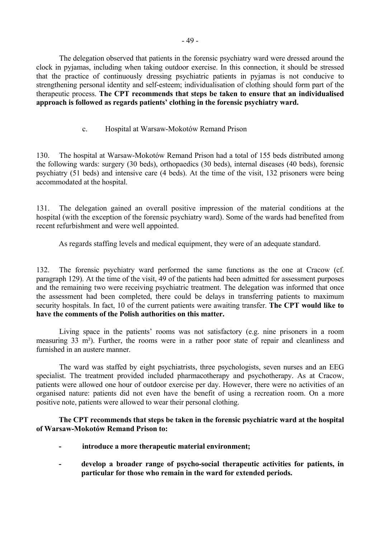The delegation observed that patients in the forensic psychiatry ward were dressed around the clock in pyjamas, including when taking outdoor exercise. In this connection, it should be stressed that the practice of continuously dressing psychiatric patients in pyjamas is not conducive to strengthening personal identity and self-esteem; individualisation of clothing should form part of the therapeutic process. **The CPT recommends that steps be taken to ensure that an individualised**  approach is followed as regards patients' clothing in the forensic psychiatry ward.

## c. Hospital at Warsaw-Mokotów Remand Prison

130. The hospital at Warsaw-Mokotów Remand Prison had a total of 155 beds distributed among the following wards: surgery (30 beds), orthopaedics (30 beds), internal diseases (40 beds), forensic psychiatry (51 beds) and intensive care (4 beds). At the time of the visit, 132 prisoners were being accommodated at the hospital.

131. The delegation gained an overall positive impression of the material conditions at the hospital (with the exception of the forensic psychiatry ward). Some of the wards had benefited from recent refurbishment and were well appointed.

As regards staffing levels and medical equipment, they were of an adequate standard.

132. The forensic psychiatry ward performed the same functions as the one at Cracow (cf. paragraph 129). At the time of the visit, 49 of the patients had been admitted for assessment purposes and the remaining two were receiving psychiatric treatment. The delegation was informed that once the assessment had been completed, there could be delays in transferring patients to maximum security hospitals. In fact, 10 of the current patients were awaiting transfer. **The CPT would like to have the comments of the Polish authorities on this matter.**

Living space in the patients' rooms was not satisfactory (e.g. nine prisoners in a room measuring 33 m²). Further, the rooms were in a rather poor state of repair and cleanliness and furnished in an austere manner.

The ward was staffed by eight psychiatrists, three psychologists, seven nurses and an EEG specialist. The treatment provided included pharmacotherapy and psychotherapy. As at Cracow, patients were allowed one hour of outdoor exercise per day. However, there were no activities of an organised nature: patients did not even have the benefit of using a recreation room. On a more positive note, patients were allowed to wear their personal clothing.

**The CPT recommends that steps be taken in the forensic psychiatric ward at the hospital**  of Warsaw-Mokotów Remand Prison to:

- **introduce a more therapeutic material environment;**
- **develop a broader range of psycho-social therapeutic activities for patients, in particular for those who remain in the ward for extended periods.**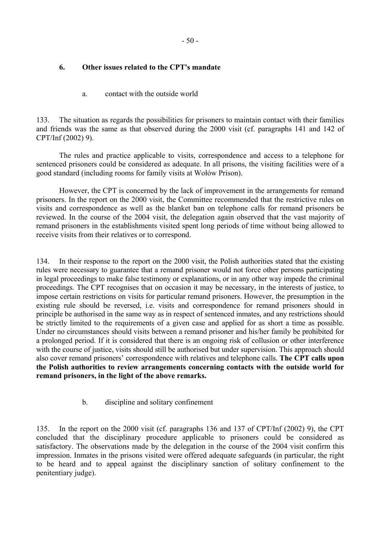- 50 -

# **6. Other issues related to the CPT's mandate**

# a. contact with the outside world

133. The situation as regards the possibilities for prisoners to maintain contact with their families and friends was the same as that observed during the 2000 visit (cf. paragraphs 141 and 142 of CPT/Inf (2002) 9).

 The rules and practice applicable to visits, correspondence and access to a telephone for sentenced prisoners could be considered as adequate. In all prisons, the visiting facilities were of a good standard (including rooms for family visits at Wołów Prison).

 However, the CPT is concerned by the lack of improvement in the arrangements for remand prisoners. In the report on the 2000 visit, the Committee recommended that the restrictive rules on visits and correspondence as well as the blanket ban on telephone calls for remand prisoners be reviewed. In the course of the 2004 visit, the delegation again observed that the vast majority of remand prisoners in the establishments visited spent long periods of time without being allowed to receive visits from their relatives or to correspond.

134. In their response to the report on the 2000 visit, the Polish authorities stated that the existing rules were necessary to guarantee that a remand prisoner would not force other persons participating in legal proceedings to make false testimony or explanations, or in any other way impede the criminal proceedings. The CPT recognises that on occasion it may be necessary, in the interests of justice, to impose certain restrictions on visits for particular remand prisoners. However, the presumption in the existing rule should be reversed, i.e. visits and correspondence for remand prisoners should in principle be authorised in the same way as in respect of sentenced inmates, and any restrictions should be strictly limited to the requirements of a given case and applied for as short a time as possible. Under no circumstances should visits between a remand prisoner and his/her family be prohibited for a prolonged period. If it is considered that there is an ongoing risk of collusion or other interference with the course of justice, visits should still be authorised but under supervision. This approach should also cover remand prisoners' correspondence with relatives and telephone calls. The CPT calls upon **the Polish authorities to review arrangements concerning contacts with the outside world for remand prisoners, in the light of the above remarks.** 

# b. discipline and solitary confinement

135. In the report on the 2000 visit (cf. paragraphs 136 and 137 of CPT/Inf (2002) 9), the CPT concluded that the disciplinary procedure applicable to prisoners could be considered as satisfactory. The observations made by the delegation in the course of the 2004 visit confirm this impression. Inmates in the prisons visited were offered adequate safeguards (in particular, the right to be heard and to appeal against the disciplinary sanction of solitary confinement to the penitentiary judge).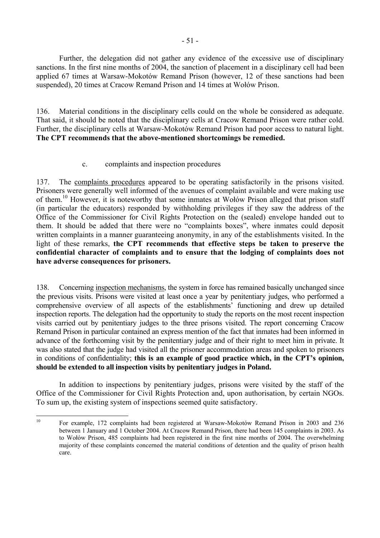Further, the delegation did not gather any evidence of the excessive use of disciplinary sanctions. In the first nine months of 2004, the sanction of placement in a disciplinary cell had been applied 67 times at Warsaw-Mokotów Remand Prison (however, 12 of these sanctions had been suspended), 20 times at Cracow Remand Prison and 14 times at Wołów Prison.

136. Material conditions in the disciplinary cells could on the whole be considered as adequate. That said, it should be noted that the disciplinary cells at Cracow Remand Prison were rather cold. Further, the disciplinary cells at Warsaw-Mokotów Remand Prison had poor access to natural light. **The CPT recommends that the above-mentioned shortcomings be remedied.**

# c. complaints and inspection procedures

137. The complaints procedures appeared to be operating satisfactorily in the prisons visited. Prisoners were generally well informed of the avenues of complaint available and were making use of them.<sup>10</sup> However, it is noteworthy that some inmates at Wołów Prison alleged that prison staff (in particular the educators) responded by withholding privileges if they saw the address of the Office of the Commissioner for Civil Rights Protection on the (sealed) envelope handed out to them. It should be added that there were no "complaints boxes", where inmates could deposit written complaints in a manner guaranteeing anonymity, in any of the establishments visited. In the light of these remarks, **the CPT recommends that effective steps be taken to preserve the confidential character of complaints and to ensure that the lodging of complaints does not have adverse consequences for prisoners.**

138. Concerning inspection mechanisms, the system in force has remained basically unchanged since the previous visits. Prisons were visited at least once a year by penitentiary judges, who performed a comprehensive overview of all aspects of the establishments' functioning and drew up detailed inspection reports. The delegation had the opportunity to study the reports on the most recent inspection visits carried out by penitentiary judges to the three prisons visited. The report concerning Cracow Remand Prison in particular contained an express mention of the fact that inmates had been informed in advance of the forthcoming visit by the penitentiary judge and of their right to meet him in private. It was also stated that the judge had visited all the prisoner accommodation areas and spoken to prisoners in conditions of confidentiality; **this is an example of good practice which, in the CPT's opinion, should be extended to all inspection visits by penitentiary judges in Poland.** 

 In addition to inspections by penitentiary judges, prisons were visited by the staff of the Office of the Commissioner for Civil Rights Protection and, upon authorisation, by certain NGOs. To sum up, the existing system of inspections seemed quite satisfactory.

<span id="page-52-0"></span> $10\,$ For example, 172 complaints had been registered at Warsaw-Mokotów Remand Prison in 2003 and 236 between 1 January and 1 October 2004. At Cracow Remand Prison, there had been 145 complaints in 2003. As to Wołów Prison, 485 complaints had been registered in the first nine months of 2004. The overwhelming majority of these complaints concerned the material conditions of detention and the quality of prison health care.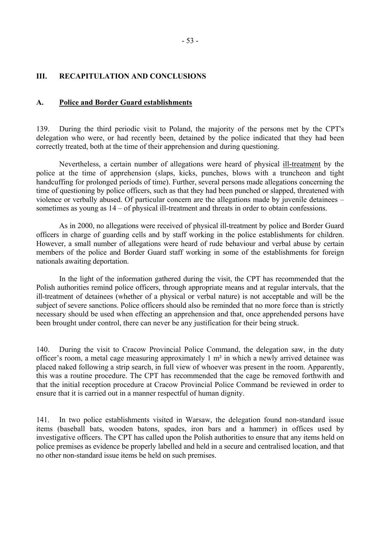## **III. RECAPITULATION AND CONCLUSIONS**

### **A. Police and Border Guard establishments**

139. During the third periodic visit to Poland, the majority of the persons met by the CPT's delegation who were, or had recently been, detained by the police indicated that they had been correctly treated, both at the time of their apprehension and during questioning.

 Nevertheless, a certain number of allegations were heard of physical ill-treatment by the police at the time of apprehension (slaps, kicks, punches, blows with a truncheon and tight handcuffing for prolonged periods of time). Further, several persons made allegations concerning the time of questioning by police officers, such as that they had been punched or slapped, threatened with violence or verbally abused. Of particular concern are the allegations made by juvenile detainees  $$ sometimes as young as  $14 - of physical$  ill-treatment and threats in order to obtain confessions.

 As in 2000, no allegations were received of physical ill-treatment by police and Border Guard officers in charge of guarding cells and by staff working in the police establishments for children. However, a small number of allegations were heard of rude behaviour and verbal abuse by certain members of the police and Border Guard staff working in some of the establishments for foreign nationals awaiting deportation.

In the light of the information gathered during the visit, the CPT has recommended that the Polish authorities remind police officers, through appropriate means and at regular intervals, that the ill-treatment of detainees (whether of a physical or verbal nature) is not acceptable and will be the subject of severe sanctions. Police officers should also be reminded that no more force than is strictly necessary should be used when effecting an apprehension and that, once apprehended persons have been brought under control, there can never be any justification for their being struck.

140. During the visit to Cracow Provincial Police Command, the delegation saw, in the duty officer's room, a metal cage measuring approximately  $1 \text{ m}^2$  in which a newly arrived detainee was placed naked following a strip search, in full view of whoever was present in the room. Apparently, this was a routine procedure. The CPT has recommended that the cage be removed forthwith and that the initial reception procedure at Cracow Provincial Police Command be reviewed in order to ensure that it is carried out in a manner respectful of human dignity.

141. In two police establishments visited in Warsaw, the delegation found non-standard issue items (baseball bats, wooden batons, spades, iron bars and a hammer) in offices used by investigative officers. The CPT has called upon the Polish authorities to ensure that any items held on police premises as evidence be properly labelled and held in a secure and centralised location, and that no other non-standard issue items be held on such premises.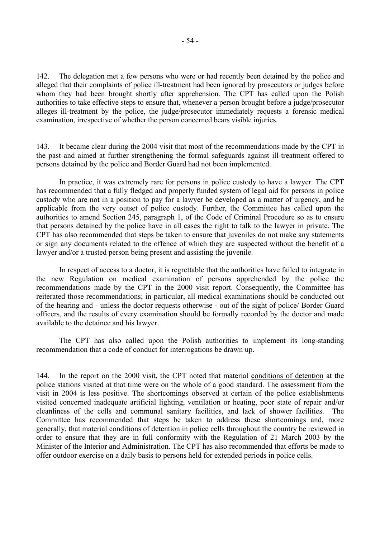142. The delegation met a few persons who were or had recently been detained by the police and alleged that their complaints of police ill-treatment had been ignored by prosecutors or judges before whom they had been brought shortly after apprehension. The CPT has called upon the Polish authorities to take effective steps to ensure that, whenever a person brought before a judge/prosecutor alleges ill-treatment by the police, the judge/prosecutor immediately requests a forensic medical examination, irrespective of whether the person concerned bears visible injuries.

143. It became clear during the 2004 visit that most of the recommendations made by the CPT in the past and aimed at further strengthening the formal safeguards against ill-treatment offered to persons detained by the police and Border Guard had not been implemented.

 In practice, it was extremely rare for persons in police custody to have a lawyer. The CPT has recommended that a fully fledged and properly funded system of legal aid for persons in police custody who are not in a position to pay for a lawyer be developed as a matter of urgency, and be applicable from the very outset of police custody. Further, the Committee has called upon the authorities to amend Section 245, paragraph 1, of the Code of Criminal Procedure so as to ensure that persons detained by the police have in all cases the right to talk to the lawyer in private. The CPT has also recommended that steps be taken to ensure that juveniles do not make any statements or sign any documents related to the offence of which they are suspected without the benefit of a lawyer and/or a trusted person being present and assisting the juvenile.

 In respect of access to a doctor, it is regrettable that the authorities have failed to integrate in the new Regulation on medical examination of persons apprehended by the police the recommendations made by the CPT in the 2000 visit report. Consequently, the Committee has reiterated those recommendations; in particular, all medical examinations should be conducted out of the hearing and - unless the doctor requests otherwise - out of the sight of police/ Border Guard officers, and the results of every examination should be formally recorded by the doctor and made available to the detainee and his lawyer.

 The CPT has also called upon the Polish authorities to implement its long-standing recommendation that a code of conduct for interrogations be drawn up.

144. In the report on the 2000 visit, the CPT noted that material conditions of detention at the police stations visited at that time were on the whole of a good standard. The assessment from the visit in 2004 is less positive. The shortcomings observed at certain of the police establishments visited concerned inadequate artificial lighting, ventilation or heating, poor state of repair and/or cleanliness of the cells and communal sanitary facilities, and lack of shower facilities. The Committee has recommended that steps be taken to address these shortcomings and, more generally, that material conditions of detention in police cells throughout the country be reviewed in order to ensure that they are in full conformity with the Regulation of 21 March 2003 by the Minister of the Interior and Administration. The CPT has also recommended that efforts be made to offer outdoor exercise on a daily basis to persons held for extended periods in police cells.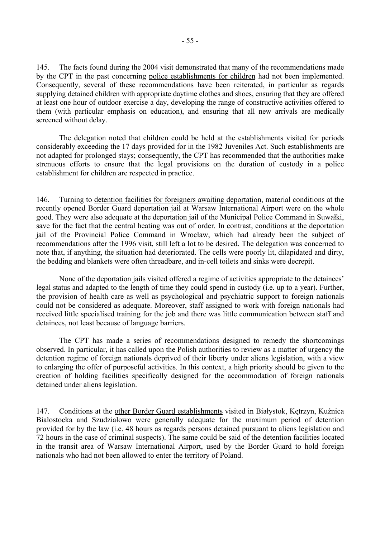145. The facts found during the 2004 visit demonstrated that many of the recommendations made by the CPT in the past concerning police establishments for children had not been implemented. Consequently, several of these recommendations have been reiterated, in particular as regards supplying detained children with appropriate daytime clothes and shoes, ensuring that they are offered at least one hour of outdoor exercise a day, developing the range of constructive activities offered to them (with particular emphasis on education), and ensuring that all new arrivals are medically screened without delay.

 The delegation noted that children could be held at the establishments visited for periods considerably exceeding the 17 days provided for in the 1982 Juveniles Act. Such establishments are not adapted for prolonged stays; consequently, the CPT has recommended that the authorities make strenuous efforts to ensure that the legal provisions on the duration of custody in a police establishment for children are respected in practice.

146. Turning to detention facilities for foreigners awaiting deportation, material conditions at the recently opened Border Guard deportation jail at Warsaw International Airport were on the whole good. They were also adequate at the deportation jail of the Municipal Police Command in Suwałki, save for the fact that the central heating was out of order. In contrast, conditions at the deportation jail of the Provincial Police Command in Wrocław, which had already been the subject of recommendations after the 1996 visit, still left a lot to be desired. The delegation was concerned to note that, if anything, the situation had deteriorated. The cells were poorly lit, dilapidated and dirty, the bedding and blankets were often threadbare, and in-cell toilets and sinks were decrepit.

None of the deportation jails visited offered a regime of activities appropriate to the detainees<sup>7</sup> legal status and adapted to the length of time they could spend in custody (i.e. up to a year). Further, the provision of health care as well as psychological and psychiatric support to foreign nationals could not be considered as adequate. Moreover, staff assigned to work with foreign nationals had received little specialised training for the job and there was little communication between staff and detainees, not least because of language barriers.

 The CPT has made a series of recommendations designed to remedy the shortcomings observed. In particular, it has called upon the Polish authorities to review as a matter of urgency the detention regime of foreign nationals deprived of their liberty under aliens legislation, with a view to enlarging the offer of purposeful activities. In this context, a high priority should be given to the creation of holding facilities specifically designed for the accommodation of foreign nationals detained under aliens legislation.

147. Conditions at the other Border Guard establishments visited in Białystok, Kętrzyn, Kuźnica Białostocka and Szudziałowo were generally adequate for the maximum period of detention provided for by the law (i.e. 48 hours as regards persons detained pursuant to aliens legislation and 72 hours in the case of criminal suspects). The same could be said of the detention facilities located in the transit area of Warsaw International Airport, used by the Border Guard to hold foreign nationals who had not been allowed to enter the territory of Poland.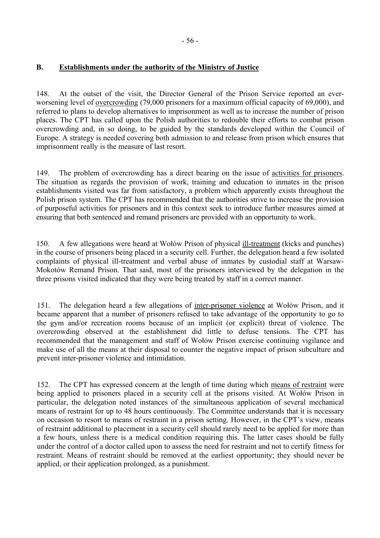# **B. Establishments under the authority of the Ministry of Justice**

148. At the outset of the visit, the Director General of the Prison Service reported an everworsening level of overcrowding (79,000 prisoners for a maximum official capacity of 69,000), and referred to plans to develop alternatives to imprisonment as well as to increase the number of prison places. The CPT has called upon the Polish authorities to redouble their efforts to combat prison overcrowding and, in so doing, to be guided by the standards developed within the Council of Europe. A strategy is needed covering both admission to and release from prison which ensures that imprisonment really is the measure of last resort.

149. The problem of overcrowding has a direct bearing on the issue of activities for prisoners. The situation as regards the provision of work, training and education to inmates in the prison establishments visited was far from satisfactory, a problem which apparently exists throughout the Polish prison system. The CPT has recommended that the authorities strive to increase the provision of purposeful activities for prisoners and in this context seek to introduce further measures aimed at ensuring that both sentenced and remand prisoners are provided with an opportunity to work.

150. A few allegations were heard at Wołów Prison of physical ill-treatment (kicks and punches) in the course of prisoners being placed in a security cell. Further, the delegation heard a few isolated complaints of physical ill-treatment and verbal abuse of inmates by custodial staff at Warsaw-Mokotów Remand Prison. That said, most of the prisoners interviewed by the delegation in the three prisons visited indicated that they were being treated by staff in a correct manner.

151. The delegation heard a few allegations of inter-prisoner violence at Wołów Prison, and it became apparent that a number of prisoners refused to take advantage of the opportunity to go to the gym and/or recreation rooms because of an implicit (or explicit) threat of violence. The overcrowding observed at the establishment did little to defuse tensions. The CPT has recommended that the management and staff of Wołów Prison exercise continuing vigilance and make use of all the means at their disposal to counter the negative impact of prison subculture and prevent inter-prisoner violence and intimidation.

152. The CPT has expressed concern at the length of time during which means of restraint were being applied to prisoners placed in a security cell at the prisons visited. At Wołów Prison in particular, the delegation noted instances of the simultaneous application of several mechanical means of restraint for up to 48 hours continuously. The Committee understands that it is necessary on occasion to resort to means of restraint in a prison setting. However, in the CPT's view, means of restraint additional to placement in a security cell should rarely need to be applied for more than a few hours, unless there is a medical condition requiring this. The latter cases should be fully under the control of a doctor called upon to assess the need for restraint and not to certify fitness for restraint. Means of restraint should be removed at the earliest opportunity; they should never be applied, or their application prolonged, as a punishment.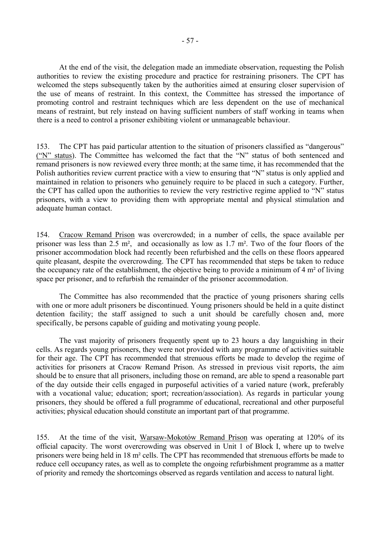At the end of the visit, the delegation made an immediate observation, requesting the Polish authorities to review the existing procedure and practice for restraining prisoners. The CPT has welcomed the steps subsequently taken by the authorities aimed at ensuring closer supervision of the use of means of restraint. In this context, the Committee has stressed the importance of promoting control and restraint techniques which are less dependent on the use of mechanical means of restraint, but rely instead on having sufficient numbers of staff working in teams when there is a need to control a prisoner exhibiting violent or unmanageable behaviour.

153. The CPT has paid particular attention to the situation of prisoners classified as "dangerous" ( $i$ <sup>N</sup>) status). The Committee has welcomed the fact that the  $i$ N<sup>3</sup> status of both sentenced and remand prisoners is now reviewed every three month; at the same time, it has recommended that the Polish authorities review current practice with a view to ensuring that "N" status is only applied and maintained in relation to prisoners who genuinely require to be placed in such a category. Further, the CPT has called upon the authorities to review the very restrictive regime applied to "N" status prisoners, with a view to providing them with appropriate mental and physical stimulation and adequate human contact.

154. Cracow Remand Prison was overcrowded; in a number of cells, the space available per prisoner was less than 2.5 m², and occasionally as low as 1.7 m². Two of the four floors of the prisoner accommodation block had recently been refurbished and the cells on these floors appeared quite pleasant, despite the overcrowding. The CPT has recommended that steps be taken to reduce the occupancy rate of the establishment, the objective being to provide a minimum of 4 m² of living space per prisoner, and to refurbish the remainder of the prisoner accommodation.

 The Committee has also recommended that the practice of young prisoners sharing cells with one or more adult prisoners be discontinued. Young prisoners should be held in a quite distinct detention facility; the staff assigned to such a unit should be carefully chosen and, more specifically, be persons capable of guiding and motivating young people.

 The vast majority of prisoners frequently spent up to 23 hours a day languishing in their cells. As regards young prisoners, they were not provided with any programme of activities suitable for their age. The CPT has recommended that strenuous efforts be made to develop the regime of activities for prisoners at Cracow Remand Prison. As stressed in previous visit reports, the aim should be to ensure that all prisoners, including those on remand, are able to spend a reasonable part of the day outside their cells engaged in purposeful activities of a varied nature (work, preferably with a vocational value; education; sport; recreation/association). As regards in particular young prisoners, they should be offered a full programme of educational, recreational and other purposeful activities; physical education should constitute an important part of that programme.

155. At the time of the visit, Warsaw-Mokotów Remand Prison was operating at 120% of its official capacity. The worst overcrowding was observed in Unit 1 of Block I, where up to twelve prisoners were being held in 18 m² cells. The CPT has recommended that strenuous efforts be made to reduce cell occupancy rates, as well as to complete the ongoing refurbishment programme as a matter of priority and remedy the shortcomings observed as regards ventilation and access to natural light.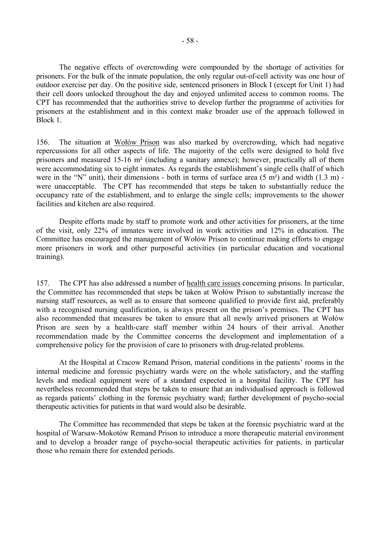The negative effects of overcrowding were compounded by the shortage of activities for prisoners. For the bulk of the inmate population, the only regular out-of-cell activity was one hour of outdoor exercise per day. On the positive side, sentenced prisoners in Block I (except for Unit 1) had their cell doors unlocked throughout the day and enjoyed unlimited access to common rooms. The CPT has recommended that the authorities strive to develop further the programme of activities for prisoners at the establishment and in this context make broader use of the approach followed in Block 1.

156. The situation at Wołów Prison was also marked by overcrowding, which had negative repercussions for all other aspects of life. The majority of the cells were designed to hold five prisoners and measured 15-16 m² (including a sanitary annexe); however, practically all of them were accommodating six to eight inmates. As regards the establishment's single cells (half of which were in the "N" unit), their dimensions - both in terms of surface area  $(5 \text{ m}^2)$  and width  $(1.3 \text{ m})$  were unacceptable. The CPT has recommended that steps be taken to substantially reduce the occupancy rate of the establishment, and to enlarge the single cells; improvements to the shower facilities and kitchen are also required.

Despite efforts made by staff to promote work and other activities for prisoners, at the time of the visit, only 22% of inmates were involved in work activities and 12% in education. The Committee has encouraged the management of Wołów Prison to continue making efforts to engage more prisoners in work and other purposeful activities (in particular education and vocational training).

157. The CPT has also addressed a number of health care issues concerning prisons. In particular, the Committee has recommended that steps be taken at Wołów Prison to substantially increase the nursing staff resources, as well as to ensure that someone qualified to provide first aid, preferably with a recognised nursing qualification, is always present on the prison's premises. The CPT has also recommended that measures be taken to ensure that all newly arrived prisoners at Wołów Prison are seen by a health-care staff member within 24 hours of their arrival. Another recommendation made by the Committee concerns the development and implementation of a comprehensive policy for the provision of care to prisoners with drug-related problems.

At the Hospital at Cracow Remand Prison, material conditions in the patients' rooms in the internal medicine and forensic psychiatry wards were on the whole satisfactory, and the staffing levels and medical equipment were of a standard expected in a hospital facility. The CPT has nevertheless recommended that steps be taken to ensure that an individualised approach is followed as regards patients' clothing in the forensic psychiatry ward; further development of psycho-social therapeutic activities for patients in that ward would also be desirable.

 The Committee has recommended that steps be taken at the forensic psychiatric ward at the hospital of Warsaw-Mokotów Remand Prison to introduce a more therapeutic material environment and to develop a broader range of psycho-social therapeutic activities for patients, in particular those who remain there for extended periods.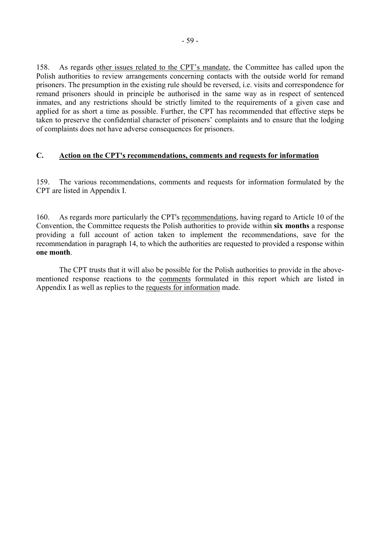158. As regards other issues related to the CPT's mandate, the Committee has called upon the Polish authorities to review arrangements concerning contacts with the outside world for remand prisoners. The presumption in the existing rule should be reversed, i.e. visits and correspondence for remand prisoners should in principle be authorised in the same way as in respect of sentenced inmates, and any restrictions should be strictly limited to the requirements of a given case and applied for as short a time as possible. Further, the CPT has recommended that effective steps be taken to preserve the confidential character of prisoners' complaints and to ensure that the lodging of complaints does not have adverse consequences for prisoners.

# **C. Action on the CPT's recommendations, comments and requests for information**

159. The various recommendations, comments and requests for information formulated by the CPT are listed in Appendix I.

160. As regards more particularly the CPT's recommendations, having regard to Article 10 of the Convention, the Committee requests the Polish authorities to provide within **six months** a response providing a full account of action taken to implement the recommendations, save for the recommendation in paragraph 14, to which the authorities are requested to provided a response within **one month**.

 The CPT trusts that it will also be possible for the Polish authorities to provide in the abovementioned response reactions to the comments formulated in this report which are listed in Appendix I as well as replies to the requests for information made.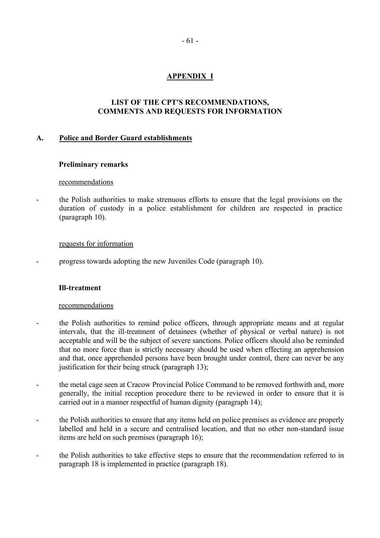# **APPENDIX I**

# **LIST OF THE CPT'S RECOMMENDATIONS, COMMENTS AND REQUESTS FOR INFORMATION**

## **A. Police and Border Guard establishments**

## **Preliminary remarks**

### recommendations

- the Polish authorities to make strenuous efforts to ensure that the legal provisions on the duration of custody in a police establishment for children are respected in practice (paragraph 10).

### requests for information

- progress towards adopting the new Juveniles Code (paragraph 10).

### **Ill-treatment**

## recommendations

- the Polish authorities to remind police officers, through appropriate means and at regular intervals, that the ill-treatment of detainees (whether of physical or verbal nature) is not acceptable and will be the subject of severe sanctions. Police officers should also be reminded that no more force than is strictly necessary should be used when effecting an apprehension and that, once apprehended persons have been brought under control, there can never be any justification for their being struck (paragraph 13);
- the metal cage seen at Cracow Provincial Police Command to be removed forthwith and, more generally, the initial reception procedure there to be reviewed in order to ensure that it is carried out in a manner respectful of human dignity (paragraph 14);
- the Polish authorities to ensure that any items held on police premises as evidence are properly labelled and held in a secure and centralised location, and that no other non-standard issue items are held on such premises (paragraph 16);
- the Polish authorities to take effective steps to ensure that the recommendation referred to in paragraph 18 is implemented in practice (paragraph 18).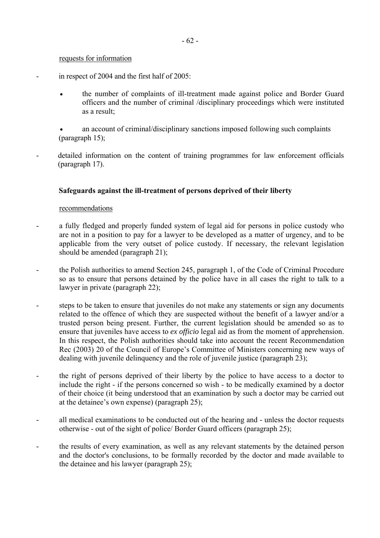### requests for information

- in respect of 2004 and the first half of 2005:
	- the number of complaints of ill-treatment made against police and Border Guard officers and the number of criminal /disciplinary proceedings which were instituted as a result;
	- an account of criminal/disciplinary sanctions imposed following such complaints (paragraph 15);
- detailed information on the content of training programmes for law enforcement officials (paragraph 17).

# **Safeguards against the ill-treatment of persons deprived of their liberty**

## recommendations

- a fully fledged and properly funded system of legal aid for persons in police custody who are not in a position to pay for a lawyer to be developed as a matter of urgency, and to be applicable from the very outset of police custody. If necessary, the relevant legislation should be amended (paragraph 21);
- the Polish authorities to amend Section 245, paragraph 1, of the Code of Criminal Procedure so as to ensure that persons detained by the police have in all cases the right to talk to a lawyer in private (paragraph 22);
- steps to be taken to ensure that juveniles do not make any statements or sign any documents related to the offence of which they are suspected without the benefit of a lawyer and/or a trusted person being present. Further, the current legislation should be amended so as to ensure that juveniles have access to *ex officio* legal aid as from the moment of apprehension. In this respect, the Polish authorities should take into account the recent Recommendation Rec (2003) 20 of the Council of Europe's Committee of Ministers concerning new ways of dealing with juvenile delinquency and the role of juvenile justice (paragraph 23);
- the right of persons deprived of their liberty by the police to have access to a doctor to include the right - if the persons concerned so wish - to be medically examined by a doctor of their choice (it being understood that an examination by such a doctor may be carried out at the detainee's own expense) (paragraph  $25$ );
- all medical examinations to be conducted out of the hearing and unless the doctor requests otherwise - out of the sight of police/ Border Guard officers (paragraph 25);
- the results of every examination, as well as any relevant statements by the detained person and the doctor's conclusions, to be formally recorded by the doctor and made available to the detainee and his lawyer (paragraph 25);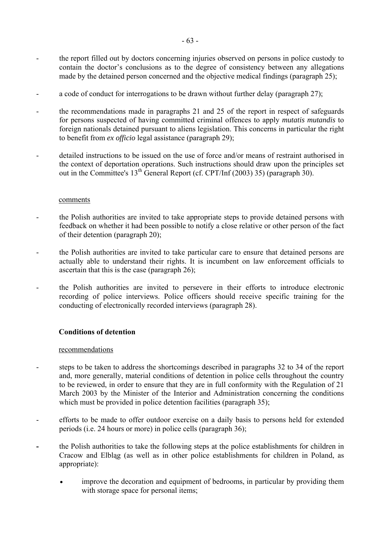- the report filled out by doctors concerning injuries observed on persons in police custody to contain the doctor's conclusions as to the degree of consistency between any allegations made by the detained person concerned and the objective medical findings (paragraph 25);
- a code of conduct for interrogations to be drawn without further delay (paragraph 27);
- the recommendations made in paragraphs 21 and 25 of the report in respect of safeguards for persons suspected of having committed criminal offences to apply *mutatis mutandis* to foreign nationals detained pursuant to aliens legislation. This concerns in particular the right to benefit from *ex officio* legal assistance (paragraph 29);
- detailed instructions to be issued on the use of force and/or means of restraint authorised in the context of deportation operations. Such instructions should draw upon the principles set out in the Committee's 13th General Report (cf. CPT/Inf (2003) 35) (paragraph 30).

### comments

- the Polish authorities are invited to take appropriate steps to provide detained persons with feedback on whether it had been possible to notify a close relative or other person of the fact of their detention (paragraph 20);
- the Polish authorities are invited to take particular care to ensure that detained persons are actually able to understand their rights. It is incumbent on law enforcement officials to ascertain that this is the case (paragraph 26);
- the Polish authorities are invited to persevere in their efforts to introduce electronic recording of police interviews. Police officers should receive specific training for the conducting of electronically recorded interviews (paragraph 28).

## **Conditions of detention**

### recommendations

- steps to be taken to address the shortcomings described in paragraphs 32 to 34 of the report and, more generally, material conditions of detention in police cells throughout the country to be reviewed, in order to ensure that they are in full conformity with the Regulation of 21 March 2003 by the Minister of the Interior and Administration concerning the conditions which must be provided in police detention facilities (paragraph 35);
- efforts to be made to offer outdoor exercise on a daily basis to persons held for extended periods (i.e. 24 hours or more) in police cells (paragraph 36);
- the Polish authorities to take the following steps at the police establishments for children in Cracow and Elbląg (as well as in other police establishments for children in Poland, as appropriate):
	- improve the decoration and equipment of bedrooms, in particular by providing them with storage space for personal items;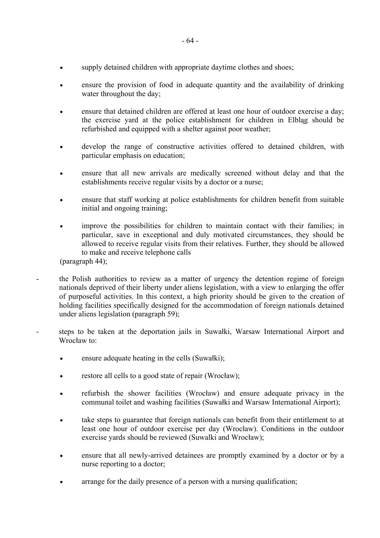- supply detained children with appropriate daytime clothes and shoes;
- ensure the provision of food in adequate quantity and the availability of drinking water throughout the day;
- ensure that detained children are offered at least one hour of outdoor exercise a day; the exercise yard at the police establishment for children in Elbląg should be refurbished and equipped with a shelter against poor weather;
- develop the range of constructive activities offered to detained children, with particular emphasis on education;
- ensure that all new arrivals are medically screened without delay and that the establishments receive regular visits by a doctor or a nurse;
- ensure that staff working at police establishments for children benefit from suitable initial and ongoing training;
- improve the possibilities for children to maintain contact with their families; in particular, save in exceptional and duly motivated circumstances, they should be allowed to receive regular visits from their relatives. Further, they should be allowed to make and receive telephone calls

(paragraph 44);

- the Polish authorities to review as a matter of urgency the detention regime of foreign nationals deprived of their liberty under aliens legislation, with a view to enlarging the offer of purposeful activities. In this context, a high priority should be given to the creation of holding facilities specifically designed for the accommodation of foreign nationals detained under aliens legislation (paragraph 59);
- steps to be taken at the deportation jails in Suwałki, Warsaw International Airport and Wrocław to:
	- ensure adequate heating in the cells (Suwałki);
	- restore all cells to a good state of repair (Wrocław);
	- refurbish the shower facilities (Wrocław) and ensure adequate privacy in the communal toilet and washing facilities (Suwałki and Warsaw International Airport);
	- take steps to guarantee that foreign nationals can benefit from their entitlement to at least one hour of outdoor exercise per day (Wrocław). Conditions in the outdoor exercise yards should be reviewed (Suwalki and Wrocław);
	- ensure that all newly-arrived detainees are promptly examined by a doctor or by a nurse reporting to a doctor;
	- arrange for the daily presence of a person with a nursing qualification;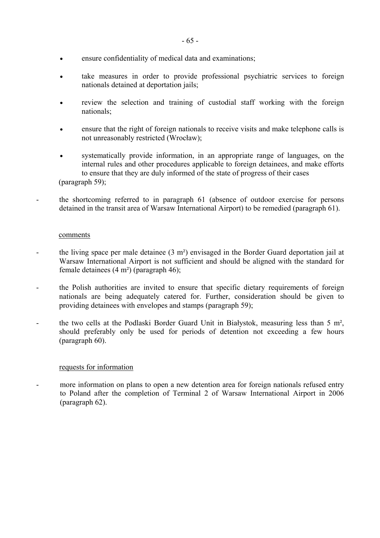- ensure confidentiality of medical data and examinations;
- take measures in order to provide professional psychiatric services to foreign nationals detained at deportation jails;
- review the selection and training of custodial staff working with the foreign nationals;
- ensure that the right of foreign nationals to receive visits and make telephone calls is not unreasonably restricted (Wrocław);
- systematically provide information, in an appropriate range of languages, on the internal rules and other procedures applicable to foreign detainees, and make efforts to ensure that they are duly informed of the state of progress of their cases

(paragraph 59);

- the shortcoming referred to in paragraph 61 (absence of outdoor exercise for persons detained in the transit area of Warsaw International Airport) to be remedied (paragraph 61).

### comments

- the living space per male detainee (3 m<sup>2</sup>) envisaged in the Border Guard deportation jail at Warsaw International Airport is not sufficient and should be aligned with the standard for female detainees (4 m²) (paragraph 46);
- the Polish authorities are invited to ensure that specific dietary requirements of foreign nationals are being adequately catered for. Further, consideration should be given to providing detainees with envelopes and stamps (paragraph 59);
- the two cells at the Podlaski Border Guard Unit in Białystok, measuring less than 5 m<sup>2</sup>, should preferably only be used for periods of detention not exceeding a few hours (paragraph 60).

## requests for information

- more information on plans to open a new detention area for foreign nationals refused entry to Poland after the completion of Terminal 2 of Warsaw International Airport in 2006 (paragraph 62).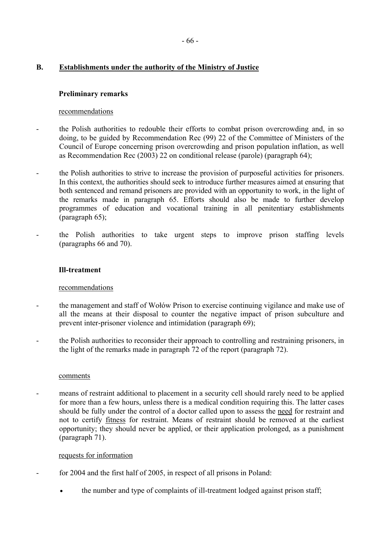# **B. Establishments under the authority of the Ministry of Justice**

## **Preliminary remarks**

## recommendations

- the Polish authorities to redouble their efforts to combat prison overcrowding and, in so doing, to be guided by Recommendation Rec (99) 22 of the Committee of Ministers of the Council of Europe concerning prison overcrowding and prison population inflation, as well as Recommendation Rec (2003) 22 on conditional release (parole) (paragraph 64);
- the Polish authorities to strive to increase the provision of purposeful activities for prisoners. In this context, the authorities should seek to introduce further measures aimed at ensuring that both sentenced and remand prisoners are provided with an opportunity to work, in the light of the remarks made in paragraph 65. Efforts should also be made to further develop programmes of education and vocational training in all penitentiary establishments (paragraph 65);
- the Polish authorities to take urgent steps to improve prison staffing levels (paragraphs 66 and 70).

## **Ill-treatment**

## recommendations

- the management and staff of Wołów Prison to exercise continuing vigilance and make use of all the means at their disposal to counter the negative impact of prison subculture and prevent inter-prisoner violence and intimidation (paragraph 69);
- the Polish authorities to reconsider their approach to controlling and restraining prisoners, in the light of the remarks made in paragraph 72 of the report (paragraph 72).

## comments

means of restraint additional to placement in a security cell should rarely need to be applied for more than a few hours, unless there is a medical condition requiring this. The latter cases should be fully under the control of a doctor called upon to assess the need for restraint and not to certify fitness for restraint. Means of restraint should be removed at the earliest opportunity; they should never be applied, or their application prolonged, as a punishment (paragraph 71).

## requests for information

- for 2004 and the first half of 2005, in respect of all prisons in Poland:
	- the number and type of complaints of ill-treatment lodged against prison staff;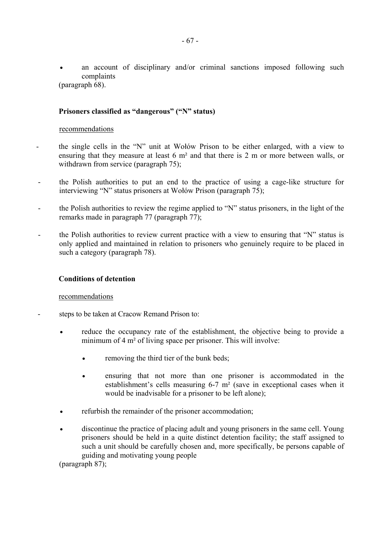an account of disciplinary and/or criminal sanctions imposed following such complaints

(paragraph 68).

## Prisoners classified as "dangerous" ("N" status)

### recommendations

- the single cells in the "N" unit at Wołów Prison to be either enlarged, with a view to ensuring that they measure at least 6 m² and that there is 2 m or more between walls, or withdrawn from service (paragraph 75);
- the Polish authorities to put an end to the practice of using a cage-like structure for interviewing "N" status prisoners at Wołów Prison (paragraph 75);
- the Polish authorities to review the regime applied to "N" status prisoners, in the light of the remarks made in paragraph 77 (paragraph 77);
- the Polish authorities to review current practice with a view to ensuring that "N" status is only applied and maintained in relation to prisoners who genuinely require to be placed in such a category (paragraph 78).

## **Conditions of detention**

### recommendations

- steps to be taken at Cracow Remand Prison to:
	- reduce the occupancy rate of the establishment, the objective being to provide a minimum of 4 m² of living space per prisoner. This will involve:
		- removing the third tier of the bunk beds;
		- ensuring that not more than one prisoner is accommodated in the establishment's cells measuring  $6-7$  m<sup>2</sup> (save in exceptional cases when it would be inadvisable for a prisoner to be left alone);
	- refurbish the remainder of the prisoner accommodation;
	- discontinue the practice of placing adult and young prisoners in the same cell. Young prisoners should be held in a quite distinct detention facility; the staff assigned to such a unit should be carefully chosen and, more specifically, be persons capable of guiding and motivating young people

(paragraph 87);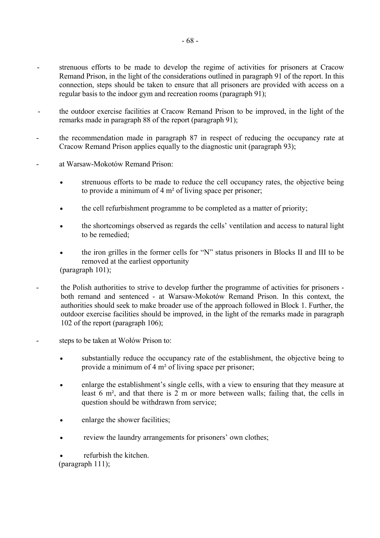- strenuous efforts to be made to develop the regime of activities for prisoners at Cracow Remand Prison, in the light of the considerations outlined in paragraph 91 of the report. In this connection, steps should be taken to ensure that all prisoners are provided with access on a regular basis to the indoor gym and recreation rooms (paragraph 91);
- the outdoor exercise facilities at Cracow Remand Prison to be improved, in the light of the remarks made in paragraph 88 of the report (paragraph 91);
- the recommendation made in paragraph 87 in respect of reducing the occupancy rate at Cracow Remand Prison applies equally to the diagnostic unit (paragraph 93);
- at Warsaw-Mokotów Remand Prison:
	- strenuous efforts to be made to reduce the cell occupancy rates, the objective being to provide a minimum of 4 m² of living space per prisoner;
	- the cell refurbishment programme to be completed as a matter of priority;
	- the shortcomings observed as regards the cells' ventilation and access to natural light to be remedied:
	- the iron grilles in the former cells for "N" status prisoners in Blocks II and III to be removed at the earliest opportunity

(paragraph 101);

- the Polish authorities to strive to develop further the programme of activities for prisoners both remand and sentenced - at Warsaw-Mokotów Remand Prison. In this context, the authorities should seek to make broader use of the approach followed in Block 1. Further, the outdoor exercise facilities should be improved, in the light of the remarks made in paragraph 102 of the report (paragraph 106);
- steps to be taken at Wołów Prison to:
	- substantially reduce the occupancy rate of the establishment, the objective being to provide a minimum of 4 m² of living space per prisoner;
	- enlarge the establishment's single cells, with a view to ensuring that they measure at least 6 m², and that there is 2 m or more between walls; failing that, the cells in question should be withdrawn from service;
	- enlarge the shower facilities;
	- review the laundry arrangements for prisoners' own clothes;

refurbish the kitchen. (paragraph 111);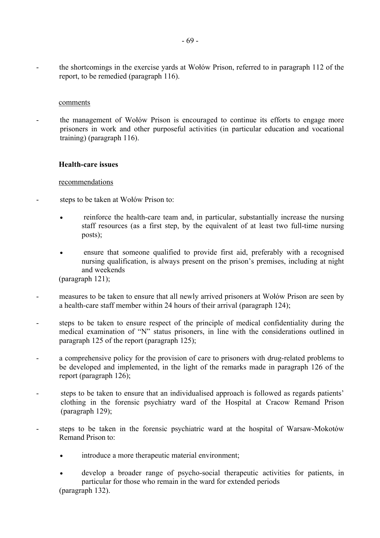the shortcomings in the exercise yards at Wołów Prison, referred to in paragraph 112 of the report, to be remedied (paragraph 116).

### comments

the management of Wołów Prison is encouraged to continue its efforts to engage more prisoners in work and other purposeful activities (in particular education and vocational training) (paragraph 116).

## **Health-care issues**

## recommendations

- steps to be taken at Wołów Prison to:
	- reinforce the health-care team and, in particular, substantially increase the nursing staff resources (as a first step, by the equivalent of at least two full-time nursing posts):
	- ensure that someone qualified to provide first aid, preferably with a recognised nursing qualification, is always present on the prison's premises, including at night and weekends

(paragraph 121);

- measures to be taken to ensure that all newly arrived prisoners at Wołów Prison are seen by a health-care staff member within 24 hours of their arrival (paragraph 124);
- steps to be taken to ensure respect of the principle of medical confidentiality during the medical examination of "N" status prisoners, in line with the considerations outlined in paragraph 125 of the report (paragraph 125);
- a comprehensive policy for the provision of care to prisoners with drug-related problems to be developed and implemented, in the light of the remarks made in paragraph 126 of the report (paragraph 126);
- steps to be taken to ensure that an individualised approach is followed as regards patients<sup>7</sup> clothing in the forensic psychiatry ward of the Hospital at Cracow Remand Prison (paragraph 129);
- steps to be taken in the forensic psychiatric ward at the hospital of Warsaw-Mokotów Remand Prison to:
	- introduce a more therapeutic material environment;
	- develop a broader range of psycho-social therapeutic activities for patients, in particular for those who remain in the ward for extended periods

(paragraph 132).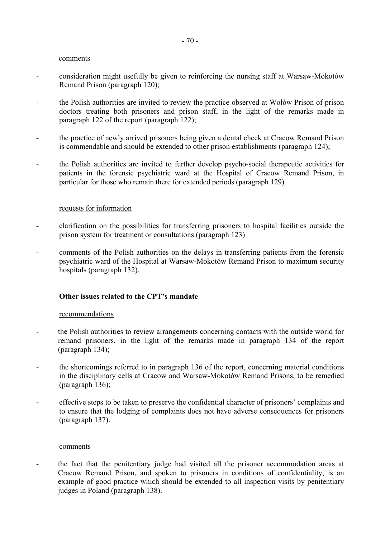### comments

- consideration might usefully be given to reinforcing the nursing staff at Warsaw-Mokotów Remand Prison (paragraph 120);
- the Polish authorities are invited to review the practice observed at Wołów Prison of prison doctors treating both prisoners and prison staff, in the light of the remarks made in paragraph 122 of the report (paragraph 122);
- the practice of newly arrived prisoners being given a dental check at Cracow Remand Prison is commendable and should be extended to other prison establishments (paragraph 124);
- the Polish authorities are invited to further develop psycho-social therapeutic activities for patients in the forensic psychiatric ward at the Hospital of Cracow Remand Prison, in particular for those who remain there for extended periods (paragraph 129).

### requests for information

- clarification on the possibilities for transferring prisoners to hospital facilities outside the prison system for treatment or consultations (paragraph 123)
- comments of the Polish authorities on the delays in transferring patients from the forensic psychiatric ward of the Hospital at Warsaw-Mokotów Remand Prison to maximum security hospitals (paragraph 132).

### **Other issues related to the CPT's mandate**

#### recommendations

- the Polish authorities to review arrangements concerning contacts with the outside world for remand prisoners, in the light of the remarks made in paragraph 134 of the report (paragraph 134);
- the shortcomings referred to in paragraph 136 of the report, concerning material conditions in the disciplinary cells at Cracow and Warsaw-Mokotów Remand Prisons, to be remedied (paragraph 136);
- effective steps to be taken to preserve the confidential character of prisoners' complaints and to ensure that the lodging of complaints does not have adverse consequences for prisoners (paragraph 137).

#### comments

- the fact that the penitentiary judge had visited all the prisoner accommodation areas at Cracow Remand Prison, and spoken to prisoners in conditions of confidentiality, is an example of good practice which should be extended to all inspection visits by penitentiary judges in Poland (paragraph 138).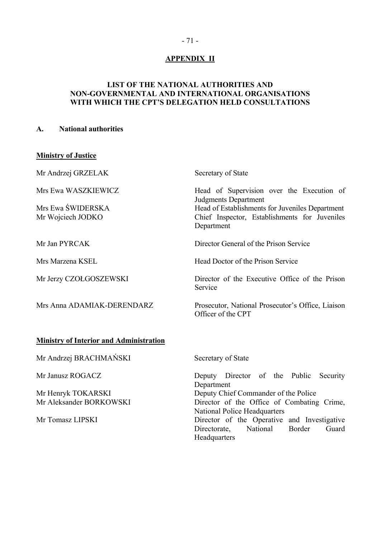# **APPENDIX II**

## **LIST OF THE NATIONAL AUTHORITIES AND NON-GOVERNMENTAL AND INTERNATIONAL ORGANISATIONS**  WITH WHICH THE CPT'S DELEGATION HELD CONSULTATIONS

## **A. National authorities**

# **Ministry of Justice**

| Mr Andrzej GRZELAK                             | Secretary of State                                                                                             |
|------------------------------------------------|----------------------------------------------------------------------------------------------------------------|
| Mrs Ewa WASZKIEWICZ                            | Head of Supervision over the Execution of<br><b>Judgments Department</b>                                       |
| Mrs Ewa ŚWIDERSKA<br>Mr Wojciech JODKO         | Head of Establishments for Juveniles Department<br>Chief Inspector, Establishments for Juveniles<br>Department |
| Mr Jan PYRCAK                                  | Director General of the Prison Service                                                                         |
| Mrs Marzena KSEL                               | Head Doctor of the Prison Service                                                                              |
| Mr Jerzy CZOŁGOSZEWSKI                         | Director of the Executive Office of the Prison<br>Service                                                      |
| Mrs Anna ADAMIAK-DERENDARZ                     | Prosecutor, National Prosecutor's Office, Liaison<br>Officer of the CPT                                        |
| <b>Ministry of Interior and Administration</b> |                                                                                                                |
| Mr Andrzej BRACHMAŃSKI                         | Secretary of State                                                                                             |
| Mr Janusz ROGACZ                               | Deputy Director of the Public<br>Security<br>Department                                                        |
| Mr Henryk TOKARSKI                             | Deputy Chief Commander of the Police                                                                           |
| Mr Aleksander BORKOWSKI                        | Director of the Office of Combating Crime,<br>National Police Headquarters                                     |
| Mr Tomasz LIPSKI                               | Director of the Operative and Investigative<br>National<br>Border<br>Guard<br>Directorate,<br>Headquarters     |